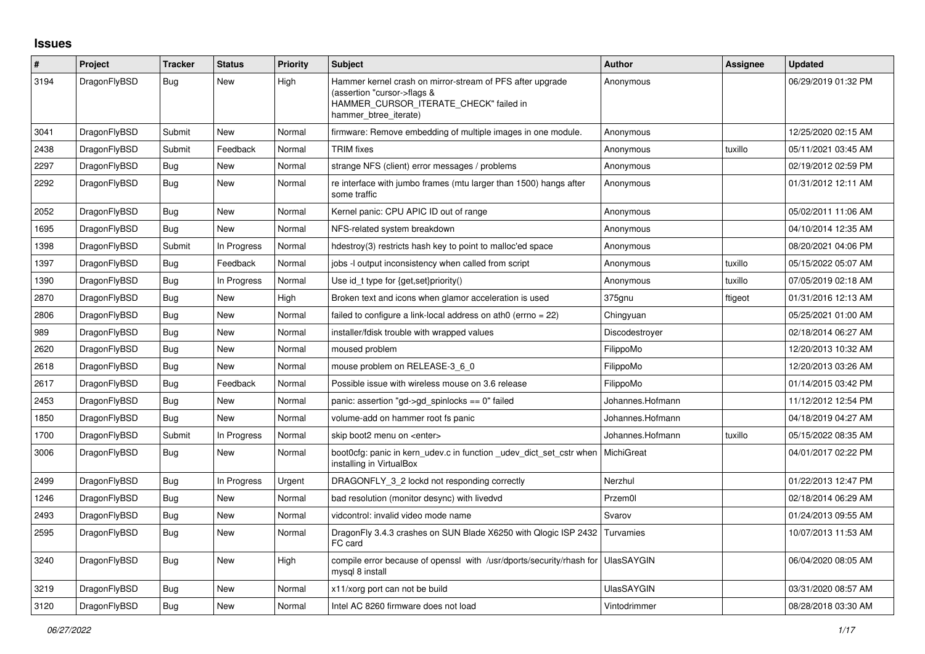## **Issues**

| #    | Project      | <b>Tracker</b> | <b>Status</b> | <b>Priority</b> | <b>Subject</b>                                                                                                                                              | <b>Author</b>     | Assignee | <b>Updated</b>      |
|------|--------------|----------------|---------------|-----------------|-------------------------------------------------------------------------------------------------------------------------------------------------------------|-------------------|----------|---------------------|
| 3194 | DragonFlyBSD | Bug            | New           | High            | Hammer kernel crash on mirror-stream of PFS after upgrade<br>(assertion "cursor->flags &<br>HAMMER_CURSOR_ITERATE_CHECK" failed in<br>hammer btree iterate) | Anonymous         |          | 06/29/2019 01:32 PM |
| 3041 | DragonFlyBSD | Submit         | New           | Normal          | firmware: Remove embedding of multiple images in one module.                                                                                                | Anonymous         |          | 12/25/2020 02:15 AM |
| 2438 | DragonFlyBSD | Submit         | Feedback      | Normal          | <b>TRIM</b> fixes                                                                                                                                           | Anonymous         | tuxillo  | 05/11/2021 03:45 AM |
| 2297 | DragonFlyBSD | <b>Bug</b>     | <b>New</b>    | Normal          | strange NFS (client) error messages / problems                                                                                                              | Anonymous         |          | 02/19/2012 02:59 PM |
| 2292 | DragonFlyBSD | <b>Bug</b>     | New           | Normal          | re interface with jumbo frames (mtu larger than 1500) hangs after<br>some traffic                                                                           | Anonymous         |          | 01/31/2012 12:11 AM |
| 2052 | DragonFlyBSD | <b>Bug</b>     | New           | Normal          | Kernel panic: CPU APIC ID out of range                                                                                                                      | Anonymous         |          | 05/02/2011 11:06 AM |
| 1695 | DragonFlyBSD | <b>Bug</b>     | New           | Normal          | NFS-related system breakdown                                                                                                                                | Anonymous         |          | 04/10/2014 12:35 AM |
| 1398 | DragonFlyBSD | Submit         | In Progress   | Normal          | hdestroy(3) restricts hash key to point to malloc'ed space                                                                                                  | Anonymous         |          | 08/20/2021 04:06 PM |
| 1397 | DragonFlyBSD | Bug            | Feedback      | Normal          | jobs -I output inconsistency when called from script                                                                                                        | Anonymous         | tuxillo  | 05/15/2022 05:07 AM |
| 1390 | DragonFlyBSD | Bug            | In Progress   | Normal          | Use id_t type for {get, set}priority()                                                                                                                      | Anonymous         | tuxillo  | 07/05/2019 02:18 AM |
| 2870 | DragonFlyBSD | <b>Bug</b>     | New           | High            | Broken text and icons when glamor acceleration is used                                                                                                      | 375gnu            | ftigeot  | 01/31/2016 12:13 AM |
| 2806 | DragonFlyBSD | <b>Bug</b>     | <b>New</b>    | Normal          | failed to configure a link-local address on ath $0$ (errno = 22)                                                                                            | Chingyuan         |          | 05/25/2021 01:00 AM |
| 989  | DragonFlyBSD | Bug            | New           | Normal          | installer/fdisk trouble with wrapped values                                                                                                                 | Discodestroyer    |          | 02/18/2014 06:27 AM |
| 2620 | DragonFlyBSD | Bug            | New           | Normal          | moused problem                                                                                                                                              | FilippoMo         |          | 12/20/2013 10:32 AM |
| 2618 | DragonFlyBSD | <b>Bug</b>     | New           | Normal          | mouse problem on RELEASE-3_6_0                                                                                                                              | FilippoMo         |          | 12/20/2013 03:26 AM |
| 2617 | DragonFlyBSD | Bug            | Feedback      | Normal          | Possible issue with wireless mouse on 3.6 release                                                                                                           | FilippoMo         |          | 01/14/2015 03:42 PM |
| 2453 | DragonFlyBSD | Bug            | New           | Normal          | panic: assertion "gd->gd spinlocks == $0$ " failed                                                                                                          | Johannes.Hofmann  |          | 11/12/2012 12:54 PM |
| 1850 | DragonFlyBSD | Bug            | New           | Normal          | volume-add on hammer root fs panic                                                                                                                          | Johannes.Hofmann  |          | 04/18/2019 04:27 AM |
| 1700 | DragonFlyBSD | Submit         | In Progress   | Normal          | skip boot2 menu on <enter></enter>                                                                                                                          | Johannes.Hofmann  | tuxillo  | 05/15/2022 08:35 AM |
| 3006 | DragonFlyBSD | <b>Bug</b>     | <b>New</b>    | Normal          | boot0cfg: panic in kern udev.c in function udev dict set cstr when<br>installing in VirtualBox                                                              | MichiGreat        |          | 04/01/2017 02:22 PM |
| 2499 | DragonFlyBSD | Bug            | In Progress   | Urgent          | DRAGONFLY 3 2 lockd not responding correctly                                                                                                                | Nerzhul           |          | 01/22/2013 12:47 PM |
| 1246 | DragonFlyBSD | Bug            | New           | Normal          | bad resolution (monitor desync) with livedvd                                                                                                                | Przem0l           |          | 02/18/2014 06:29 AM |
| 2493 | DragonFlyBSD | Bug            | New           | Normal          | vidcontrol: invalid video mode name                                                                                                                         | Svarov            |          | 01/24/2013 09:55 AM |
| 2595 | DragonFlyBSD | Bug            | <b>New</b>    | Normal          | DragonFly 3.4.3 crashes on SUN Blade X6250 with Qlogic ISP 2432 Turvamies<br>FC card                                                                        |                   |          | 10/07/2013 11:53 AM |
| 3240 | DragonFlyBSD | Bug            | New           | High            | compile error because of openssl with /usr/dports/security/rhash for UlasSAYGIN<br>mysql 8 install                                                          |                   |          | 06/04/2020 08:05 AM |
| 3219 | DragonFlyBSD | <b>Bug</b>     | New           | Normal          | x11/xorg port can not be build                                                                                                                              | <b>UlasSAYGIN</b> |          | 03/31/2020 08:57 AM |
| 3120 | DragonFlyBSD | <b>Bug</b>     | New           | Normal          | Intel AC 8260 firmware does not load                                                                                                                        | Vintodrimmer      |          | 08/28/2018 03:30 AM |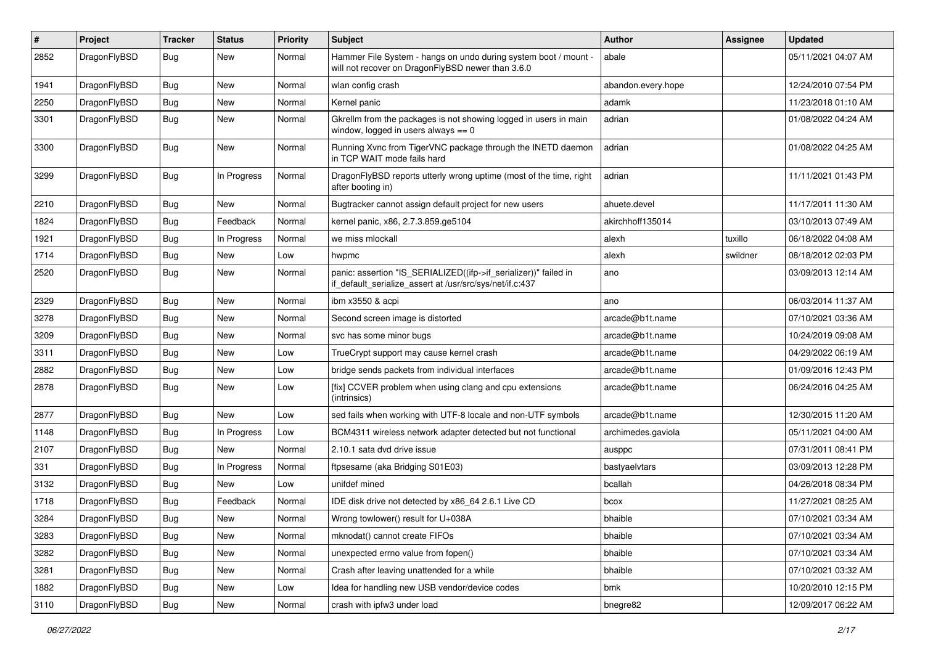| $\pmb{\#}$ | Project      | <b>Tracker</b> | <b>Status</b> | <b>Priority</b> | Subject                                                                                                                      | Author             | <b>Assignee</b> | <b>Updated</b>      |
|------------|--------------|----------------|---------------|-----------------|------------------------------------------------------------------------------------------------------------------------------|--------------------|-----------------|---------------------|
| 2852       | DragonFlyBSD | Bug            | New           | Normal          | Hammer File System - hangs on undo during system boot / mount -<br>will not recover on DragonFlyBSD newer than 3.6.0         | abale              |                 | 05/11/2021 04:07 AM |
| 1941       | DragonFlyBSD | <b>Bug</b>     | <b>New</b>    | Normal          | wlan config crash                                                                                                            | abandon.every.hope |                 | 12/24/2010 07:54 PM |
| 2250       | DragonFlyBSD | Bug            | New           | Normal          | Kernel panic                                                                                                                 | adamk              |                 | 11/23/2018 01:10 AM |
| 3301       | DragonFlyBSD | Bug            | <b>New</b>    | Normal          | Gkrellm from the packages is not showing logged in users in main<br>window, logged in users always $== 0$                    | adrian             |                 | 01/08/2022 04:24 AM |
| 3300       | DragonFlyBSD | Bug            | New           | Normal          | Running Xvnc from TigerVNC package through the INETD daemon<br>in TCP WAIT mode fails hard                                   | adrian             |                 | 01/08/2022 04:25 AM |
| 3299       | DragonFlyBSD | Bug            | In Progress   | Normal          | DragonFlyBSD reports utterly wrong uptime (most of the time, right<br>after booting in)                                      | adrian             |                 | 11/11/2021 01:43 PM |
| 2210       | DragonFlyBSD | <b>Bug</b>     | <b>New</b>    | Normal          | Bugtracker cannot assign default project for new users                                                                       | ahuete.devel       |                 | 11/17/2011 11:30 AM |
| 1824       | DragonFlyBSD | Bug            | Feedback      | Normal          | kernel panic, x86, 2.7.3.859.ge5104                                                                                          | akirchhoff135014   |                 | 03/10/2013 07:49 AM |
| 1921       | DragonFlyBSD | Bug            | In Progress   | Normal          | we miss mlockall                                                                                                             | alexh              | tuxillo         | 06/18/2022 04:08 AM |
| 1714       | DragonFlyBSD | <b>Bug</b>     | New           | Low             | hwpmc                                                                                                                        | alexh              | swildner        | 08/18/2012 02:03 PM |
| 2520       | DragonFlyBSD | Bug            | New           | Normal          | panic: assertion "IS_SERIALIZED((ifp->if_serializer))" failed in<br>if_default_serialize_assert at /usr/src/sys/net/if.c:437 | ano                |                 | 03/09/2013 12:14 AM |
| 2329       | DragonFlyBSD | Bug            | <b>New</b>    | Normal          | ibm x3550 & acpi                                                                                                             | ano                |                 | 06/03/2014 11:37 AM |
| 3278       | DragonFlyBSD | Bug            | New           | Normal          | Second screen image is distorted                                                                                             | arcade@b1t.name    |                 | 07/10/2021 03:36 AM |
| 3209       | DragonFlyBSD | Bug            | New           | Normal          | svc has some minor bugs                                                                                                      | arcade@b1t.name    |                 | 10/24/2019 09:08 AM |
| 3311       | DragonFlyBSD | Bug            | New           | Low             | TrueCrypt support may cause kernel crash                                                                                     | arcade@b1t.name    |                 | 04/29/2022 06:19 AM |
| 2882       | DragonFlyBSD | <b>Bug</b>     | <b>New</b>    | Low             | bridge sends packets from individual interfaces                                                                              | arcade@b1t.name    |                 | 01/09/2016 12:43 PM |
| 2878       | DragonFlyBSD | Bug            | New           | Low             | [fix] CCVER problem when using clang and cpu extensions<br>(intrinsics)                                                      | arcade@b1t.name    |                 | 06/24/2016 04:25 AM |
| 2877       | DragonFlyBSD | Bug            | <b>New</b>    | Low             | sed fails when working with UTF-8 locale and non-UTF symbols                                                                 | arcade@b1t.name    |                 | 12/30/2015 11:20 AM |
| 1148       | DragonFlyBSD | Bug            | In Progress   | Low             | BCM4311 wireless network adapter detected but not functional                                                                 | archimedes.gaviola |                 | 05/11/2021 04:00 AM |
| 2107       | DragonFlyBSD | Bug            | New           | Normal          | 2.10.1 sata dvd drive issue                                                                                                  | ausppc             |                 | 07/31/2011 08:41 PM |
| 331        | DragonFlyBSD | <b>Bug</b>     | In Progress   | Normal          | ftpsesame (aka Bridging S01E03)                                                                                              | bastyaelvtars      |                 | 03/09/2013 12:28 PM |
| 3132       | DragonFlyBSD | Bug            | <b>New</b>    | Low             | unifdef mined                                                                                                                | bcallah            |                 | 04/26/2018 08:34 PM |
| 1718       | DragonFlyBSD | <b>Bug</b>     | Feedback      | Normal          | IDE disk drive not detected by x86 64 2.6.1 Live CD                                                                          | bcox               |                 | 11/27/2021 08:25 AM |
| 3284       | DragonFlyBSD | Bug            | New           | Normal          | Wrong towlower() result for U+038A                                                                                           | bhaible            |                 | 07/10/2021 03:34 AM |
| 3283       | DragonFlyBSD | <b>Bug</b>     | <b>New</b>    | Normal          | mknodat() cannot create FIFOs                                                                                                | bhaible            |                 | 07/10/2021 03:34 AM |
| 3282       | DragonFlyBSD | <b>Bug</b>     | New           | Normal          | unexpected errno value from fopen()                                                                                          | bhaible            |                 | 07/10/2021 03:34 AM |
| 3281       | DragonFlyBSD | <b>Bug</b>     | New           | Normal          | Crash after leaving unattended for a while                                                                                   | bhaible            |                 | 07/10/2021 03:32 AM |
| 1882       | DragonFlyBSD | Bug            | New           | Low             | Idea for handling new USB vendor/device codes                                                                                | bmk                |                 | 10/20/2010 12:15 PM |
| 3110       | DragonFlyBSD | Bug            | New           | Normal          | crash with ipfw3 under load                                                                                                  | bnegre82           |                 | 12/09/2017 06:22 AM |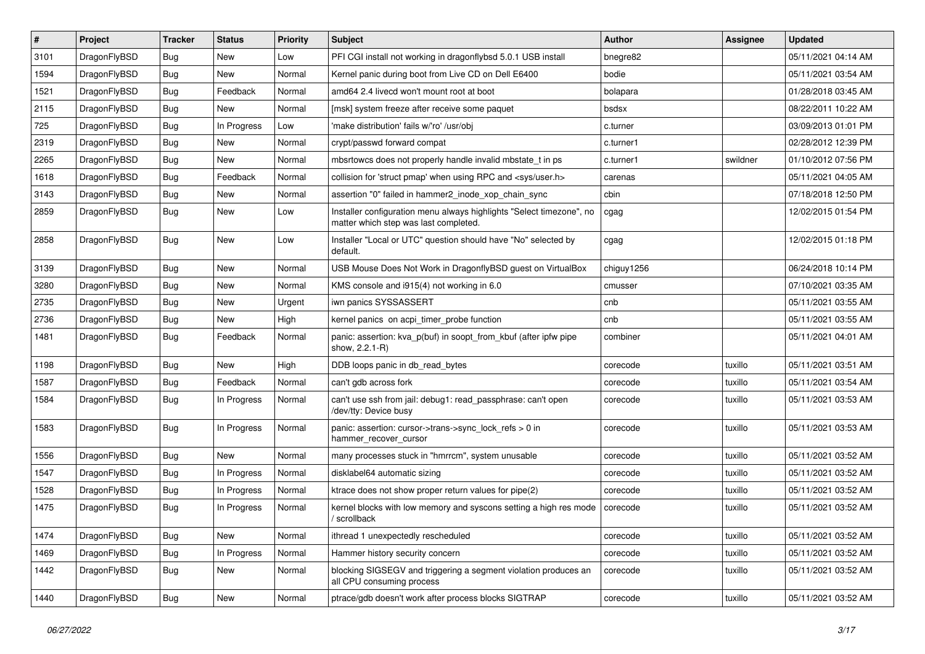| $\sharp$ | Project      | <b>Tracker</b> | <b>Status</b> | <b>Priority</b> | Subject                                                                                                       | Author     | Assignee | <b>Updated</b>      |
|----------|--------------|----------------|---------------|-----------------|---------------------------------------------------------------------------------------------------------------|------------|----------|---------------------|
| 3101     | DragonFlyBSD | <b>Bug</b>     | New           | Low             | PFI CGI install not working in dragonflybsd 5.0.1 USB install                                                 | bnegre82   |          | 05/11/2021 04:14 AM |
| 1594     | DragonFlyBSD | <b>Bug</b>     | <b>New</b>    | Normal          | Kernel panic during boot from Live CD on Dell E6400                                                           | bodie      |          | 05/11/2021 03:54 AM |
| 1521     | DragonFlyBSD | <b>Bug</b>     | Feedback      | Normal          | amd64 2.4 livecd won't mount root at boot                                                                     | bolapara   |          | 01/28/2018 03:45 AM |
| 2115     | DragonFlyBSD | <b>Bug</b>     | New           | Normal          | [msk] system freeze after receive some paquet                                                                 | bsdsx      |          | 08/22/2011 10:22 AM |
| 725      | DragonFlyBSD | <b>Bug</b>     | In Progress   | Low             | 'make distribution' fails w/'ro' /usr/obj                                                                     | c.turner   |          | 03/09/2013 01:01 PM |
| 2319     | DragonFlyBSD | <b>Bug</b>     | <b>New</b>    | Normal          | crypt/passwd forward compat                                                                                   | c.turner1  |          | 02/28/2012 12:39 PM |
| 2265     | DragonFlyBSD | <b>Bug</b>     | New           | Normal          | mbsrtowcs does not properly handle invalid mbstate t in ps                                                    | c.turner1  | swildner | 01/10/2012 07:56 PM |
| 1618     | DragonFlyBSD | <b>Bug</b>     | Feedback      | Normal          | collision for 'struct pmap' when using RPC and <sys user.h=""></sys>                                          | carenas    |          | 05/11/2021 04:05 AM |
| 3143     | DragonFlyBSD | <b>Bug</b>     | <b>New</b>    | Normal          | assertion "0" failed in hammer2 inode xop chain sync                                                          | cbin       |          | 07/18/2018 12:50 PM |
| 2859     | DragonFlyBSD | <b>Bug</b>     | New           | Low             | Installer configuration menu always highlights "Select timezone", no<br>matter which step was last completed. | cgag       |          | 12/02/2015 01:54 PM |
| 2858     | DragonFlyBSD | Bug            | New           | Low             | Installer "Local or UTC" question should have "No" selected by<br>default.                                    | cgag       |          | 12/02/2015 01:18 PM |
| 3139     | DragonFlyBSD | <b>Bug</b>     | New           | Normal          | USB Mouse Does Not Work in DragonflyBSD guest on VirtualBox                                                   | chiguy1256 |          | 06/24/2018 10:14 PM |
| 3280     | DragonFlyBSD | <b>Bug</b>     | New           | Normal          | KMS console and i915(4) not working in 6.0                                                                    | cmusser    |          | 07/10/2021 03:35 AM |
| 2735     | DragonFlyBSD | <b>Bug</b>     | <b>New</b>    | Urgent          | iwn panics SYSSASSERT                                                                                         | cnb        |          | 05/11/2021 03:55 AM |
| 2736     | DragonFlyBSD | <b>Bug</b>     | New           | High            | kernel panics on acpi_timer_probe function                                                                    | cnb        |          | 05/11/2021 03:55 AM |
| 1481     | DragonFlyBSD | <b>Bug</b>     | Feedback      | Normal          | panic: assertion: kva_p(buf) in soopt_from_kbuf (after ipfw pipe<br>show, 2.2.1-R)                            | combiner   |          | 05/11/2021 04:01 AM |
| 1198     | DragonFlyBSD | <b>Bug</b>     | <b>New</b>    | High            | DDB loops panic in db_read_bytes                                                                              | corecode   | tuxillo  | 05/11/2021 03:51 AM |
| 1587     | DragonFlyBSD | <b>Bug</b>     | Feedback      | Normal          | can't gdb across fork                                                                                         | corecode   | tuxillo  | 05/11/2021 03:54 AM |
| 1584     | DragonFlyBSD | <b>Bug</b>     | In Progress   | Normal          | can't use ssh from jail: debug1: read_passphrase: can't open<br>/dev/tty: Device busy                         | corecode   | tuxillo  | 05/11/2021 03:53 AM |
| 1583     | DragonFlyBSD | Bug            | In Progress   | Normal          | panic: assertion: cursor->trans->sync_lock_refs > 0 in<br>hammer_recover_cursor                               | corecode   | tuxillo  | 05/11/2021 03:53 AM |
| 1556     | DragonFlyBSD | <b>Bug</b>     | <b>New</b>    | Normal          | many processes stuck in "hmrrcm", system unusable                                                             | corecode   | tuxillo  | 05/11/2021 03:52 AM |
| 1547     | DragonFlyBSD | <b>Bug</b>     | In Progress   | Normal          | disklabel64 automatic sizing                                                                                  | corecode   | tuxillo  | 05/11/2021 03:52 AM |
| 1528     | DragonFlyBSD | <b>Bug</b>     | In Progress   | Normal          | ktrace does not show proper return values for pipe(2)                                                         | corecode   | tuxillo  | 05/11/2021 03:52 AM |
| 1475     | DragonFlyBSD | Bug            | In Progress   | Normal          | kernel blocks with low memory and syscons setting a high res mode<br>/ scrollback                             | corecode   | tuxillo  | 05/11/2021 03:52 AM |
| 1474     | DragonFlyBSD | Bug            | New           | Normal          | ithread 1 unexpectedly rescheduled                                                                            | corecode   | tuxillo  | 05/11/2021 03:52 AM |
| 1469     | DragonFlyBSD | Bug            | In Progress   | Normal          | Hammer history security concern                                                                               | corecode   | tuxillo  | 05/11/2021 03:52 AM |
| 1442     | DragonFlyBSD | <b>Bug</b>     | New           | Normal          | blocking SIGSEGV and triggering a segment violation produces an<br>all CPU consuming process                  | corecode   | tuxillo  | 05/11/2021 03:52 AM |
| 1440     | DragonFlyBSD | <b>Bug</b>     | New           | Normal          | ptrace/gdb doesn't work after process blocks SIGTRAP                                                          | corecode   | tuxillo  | 05/11/2021 03:52 AM |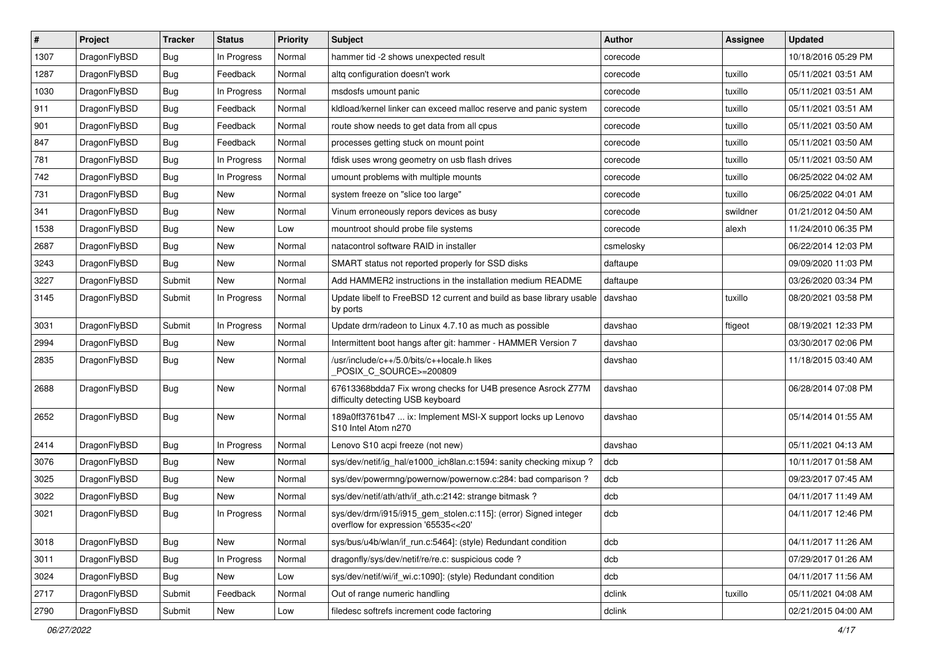| $\pmb{\#}$ | Project      | <b>Tracker</b> | <b>Status</b> | Priority | Subject                                                                                                | <b>Author</b> | <b>Assignee</b> | <b>Updated</b>      |
|------------|--------------|----------------|---------------|----------|--------------------------------------------------------------------------------------------------------|---------------|-----------------|---------------------|
| 1307       | DragonFlyBSD | Bug            | In Progress   | Normal   | hammer tid -2 shows unexpected result                                                                  | corecode      |                 | 10/18/2016 05:29 PM |
| 1287       | DragonFlyBSD | Bug            | Feedback      | Normal   | altg configuration doesn't work                                                                        | corecode      | tuxillo         | 05/11/2021 03:51 AM |
| 1030       | DragonFlyBSD | Bug            | In Progress   | Normal   | msdosfs umount panic                                                                                   | corecode      | tuxillo         | 05/11/2021 03:51 AM |
| 911        | DragonFlyBSD | Bug            | Feedback      | Normal   | kldload/kernel linker can exceed malloc reserve and panic system                                       | corecode      | tuxillo         | 05/11/2021 03:51 AM |
| 901        | DragonFlyBSD | Bug            | Feedback      | Normal   | route show needs to get data from all cpus                                                             | corecode      | tuxillo         | 05/11/2021 03:50 AM |
| 847        | DragonFlyBSD | <b>Bug</b>     | Feedback      | Normal   | processes getting stuck on mount point                                                                 | corecode      | tuxillo         | 05/11/2021 03:50 AM |
| 781        | DragonFlyBSD | Bug            | In Progress   | Normal   | fdisk uses wrong geometry on usb flash drives                                                          | corecode      | tuxillo         | 05/11/2021 03:50 AM |
| 742        | DragonFlyBSD | Bug            | In Progress   | Normal   | umount problems with multiple mounts                                                                   | corecode      | tuxillo         | 06/25/2022 04:02 AM |
| 731        | DragonFlyBSD | Bug            | <b>New</b>    | Normal   | system freeze on "slice too large"                                                                     | corecode      | tuxillo         | 06/25/2022 04:01 AM |
| 341        | DragonFlyBSD | Bug            | <b>New</b>    | Normal   | Vinum erroneously repors devices as busy                                                               | corecode      | swildner        | 01/21/2012 04:50 AM |
| 1538       | DragonFlyBSD | Bug            | <b>New</b>    | Low      | mountroot should probe file systems                                                                    | corecode      | alexh           | 11/24/2010 06:35 PM |
| 2687       | DragonFlyBSD | Bug            | <b>New</b>    | Normal   | natacontrol software RAID in installer                                                                 | csmelosky     |                 | 06/22/2014 12:03 PM |
| 3243       | DragonFlyBSD | Bug            | <b>New</b>    | Normal   | SMART status not reported properly for SSD disks                                                       | daftaupe      |                 | 09/09/2020 11:03 PM |
| 3227       | DragonFlyBSD | Submit         | New           | Normal   | Add HAMMER2 instructions in the installation medium README                                             | daftaupe      |                 | 03/26/2020 03:34 PM |
| 3145       | DragonFlyBSD | Submit         | In Progress   | Normal   | Update libelf to FreeBSD 12 current and build as base library usable<br>by ports                       | davshao       | tuxillo         | 08/20/2021 03:58 PM |
| 3031       | DragonFlyBSD | Submit         | In Progress   | Normal   | Update drm/radeon to Linux 4.7.10 as much as possible                                                  | davshao       | ftigeot         | 08/19/2021 12:33 PM |
| 2994       | DragonFlyBSD | Bug            | <b>New</b>    | Normal   | Intermittent boot hangs after git: hammer - HAMMER Version 7                                           | davshao       |                 | 03/30/2017 02:06 PM |
| 2835       | DragonFlyBSD | Bug            | New           | Normal   | /usr/include/c++/5.0/bits/c++locale.h likes<br>POSIX_C_SOURCE>=200809                                  | davshao       |                 | 11/18/2015 03:40 AM |
| 2688       | DragonFlyBSD | Bug            | New           | Normal   | 67613368bdda7 Fix wrong checks for U4B presence Asrock Z77M<br>difficulty detecting USB keyboard       | davshao       |                 | 06/28/2014 07:08 PM |
| 2652       | DragonFlyBSD | Bug            | <b>New</b>    | Normal   | 189a0ff3761b47  ix: Implement MSI-X support locks up Lenovo<br>S10 Intel Atom n270                     | davshao       |                 | 05/14/2014 01:55 AM |
| 2414       | DragonFlyBSD | Bug            | In Progress   | Normal   | Lenovo S10 acpi freeze (not new)                                                                       | davshao       |                 | 05/11/2021 04:13 AM |
| 3076       | DragonFlyBSD | Bug            | <b>New</b>    | Normal   | sys/dev/netif/ig_hal/e1000_ich8lan.c:1594: sanity checking mixup?                                      | dcb           |                 | 10/11/2017 01:58 AM |
| 3025       | DragonFlyBSD | Bug            | <b>New</b>    | Normal   | sys/dev/powermng/powernow/powernow.c:284: bad comparison?                                              | dcb           |                 | 09/23/2017 07:45 AM |
| 3022       | DragonFlyBSD | Bug            | <b>New</b>    | Normal   | sys/dev/netif/ath/ath/if ath.c:2142: strange bitmask?                                                  | dcb           |                 | 04/11/2017 11:49 AM |
| 3021       | DragonFlyBSD | Bug            | In Progress   | Normal   | sys/dev/drm/i915/i915_gem_stolen.c:115]: (error) Signed integer<br>overflow for expression '65535<<20' | dcb           |                 | 04/11/2017 12:46 PM |
| 3018       | DragonFlyBSD | <b>Bug</b>     | New           | Normal   | sys/bus/u4b/wlan/if_run.c:5464]: (style) Redundant condition                                           | dcb           |                 | 04/11/2017 11:26 AM |
| 3011       | DragonFlyBSD | <b>Bug</b>     | In Progress   | Normal   | dragonfly/sys/dev/netif/re/re.c: suspicious code?                                                      | dcb           |                 | 07/29/2017 01:26 AM |
| 3024       | DragonFlyBSD | <b>Bug</b>     | New           | Low      | sys/dev/netif/wi/if_wi.c:1090]: (style) Redundant condition                                            | dcb           |                 | 04/11/2017 11:56 AM |
| 2717       | DragonFlyBSD | Submit         | Feedback      | Normal   | Out of range numeric handling                                                                          | dclink        | tuxillo         | 05/11/2021 04:08 AM |
| 2790       | DragonFlyBSD | Submit         | New           | Low      | filedesc softrefs increment code factoring                                                             | dclink        |                 | 02/21/2015 04:00 AM |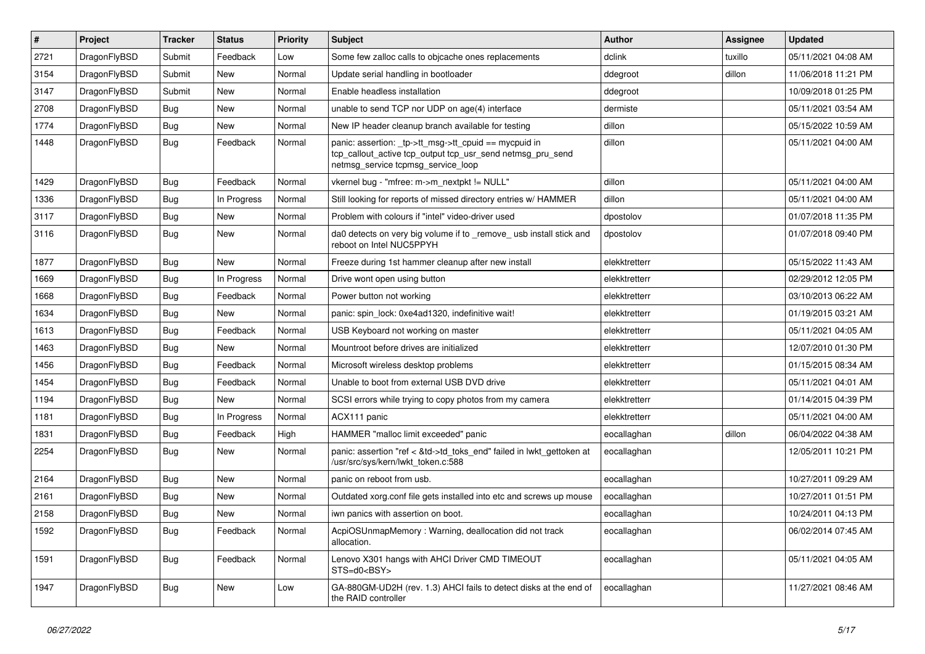| $\vert$ # | Project      | <b>Tracker</b> | <b>Status</b> | <b>Priority</b> | <b>Subject</b>                                                                                                                                            | <b>Author</b> | <b>Assignee</b> | <b>Updated</b>      |
|-----------|--------------|----------------|---------------|-----------------|-----------------------------------------------------------------------------------------------------------------------------------------------------------|---------------|-----------------|---------------------|
| 2721      | DragonFlyBSD | Submit         | Feedback      | Low             | Some few zalloc calls to objcache ones replacements                                                                                                       | dclink        | tuxillo         | 05/11/2021 04:08 AM |
| 3154      | DragonFlyBSD | Submit         | <b>New</b>    | Normal          | Update serial handling in bootloader                                                                                                                      | ddegroot      | dillon          | 11/06/2018 11:21 PM |
| 3147      | DragonFlyBSD | Submit         | <b>New</b>    | Normal          | Enable headless installation                                                                                                                              | ddegroot      |                 | 10/09/2018 01:25 PM |
| 2708      | DragonFlyBSD | Bug            | <b>New</b>    | Normal          | unable to send TCP nor UDP on age(4) interface                                                                                                            | dermiste      |                 | 05/11/2021 03:54 AM |
| 1774      | DragonFlyBSD | <b>Bug</b>     | <b>New</b>    | Normal          | New IP header cleanup branch available for testing                                                                                                        | dillon        |                 | 05/15/2022 10:59 AM |
| 1448      | DragonFlyBSD | Bug            | Feedback      | Normal          | panic: assertion: _tp->tt_msg->tt_cpuid == mycpuid in<br>tcp_callout_active tcp_output tcp_usr_send netmsg_pru_send<br>netmsg service tcpmsg service loop | dillon        |                 | 05/11/2021 04:00 AM |
| 1429      | DragonFlyBSD | <b>Bug</b>     | Feedback      | Normal          | vkernel bug - "mfree: m->m_nextpkt != NULL"                                                                                                               | dillon        |                 | 05/11/2021 04:00 AM |
| 1336      | DragonFlyBSD | <b>Bug</b>     | In Progress   | Normal          | Still looking for reports of missed directory entries w/ HAMMER                                                                                           | dillon        |                 | 05/11/2021 04:00 AM |
| 3117      | DragonFlyBSD | <b>Bug</b>     | New           | Normal          | Problem with colours if "intel" video-driver used                                                                                                         | dpostolov     |                 | 01/07/2018 11:35 PM |
| 3116      | DragonFlyBSD | Bug            | <b>New</b>    | Normal          | da0 detects on very big volume if to _remove_ usb install stick and<br>reboot on Intel NUC5PPYH                                                           | dpostolov     |                 | 01/07/2018 09:40 PM |
| 1877      | DragonFlyBSD | Bug            | New           | Normal          | Freeze during 1st hammer cleanup after new install                                                                                                        | elekktretterr |                 | 05/15/2022 11:43 AM |
| 1669      | DragonFlyBSD | Bug            | In Progress   | Normal          | Drive wont open using button                                                                                                                              | elekktretterr |                 | 02/29/2012 12:05 PM |
| 1668      | DragonFlyBSD | <b>Bug</b>     | Feedback      | Normal          | Power button not working                                                                                                                                  | elekktretterr |                 | 03/10/2013 06:22 AM |
| 1634      | DragonFlyBSD | <b>Bug</b>     | <b>New</b>    | Normal          | panic: spin lock: 0xe4ad1320, indefinitive wait!                                                                                                          | elekktretterr |                 | 01/19/2015 03:21 AM |
| 1613      | DragonFlyBSD | <b>Bug</b>     | Feedback      | Normal          | USB Keyboard not working on master                                                                                                                        | elekktretterr |                 | 05/11/2021 04:05 AM |
| 1463      | DragonFlyBSD | <b>Bug</b>     | <b>New</b>    | Normal          | Mountroot before drives are initialized                                                                                                                   | elekktretterr |                 | 12/07/2010 01:30 PM |
| 1456      | DragonFlyBSD | Bug            | Feedback      | Normal          | Microsoft wireless desktop problems                                                                                                                       | elekktretterr |                 | 01/15/2015 08:34 AM |
| 1454      | DragonFlyBSD | <b>Bug</b>     | Feedback      | Normal          | Unable to boot from external USB DVD drive                                                                                                                | elekktretterr |                 | 05/11/2021 04:01 AM |
| 1194      | DragonFlyBSD | <b>Bug</b>     | New           | Normal          | SCSI errors while trying to copy photos from my camera                                                                                                    | elekktretterr |                 | 01/14/2015 04:39 PM |
| 1181      | DragonFlyBSD | <b>Bug</b>     | In Progress   | Normal          | ACX111 panic                                                                                                                                              | elekktretterr |                 | 05/11/2021 04:00 AM |
| 1831      | DragonFlyBSD | <b>Bug</b>     | Feedback      | High            | HAMMER "malloc limit exceeded" panic                                                                                                                      | eocallaghan   | dillon          | 06/04/2022 04:38 AM |
| 2254      | DragonFlyBSD | Bug            | <b>New</b>    | Normal          | panic: assertion "ref < &td->td_toks_end" failed in lwkt_gettoken at<br>/usr/src/sys/kern/lwkt_token.c:588                                                | eocallaghan   |                 | 12/05/2011 10:21 PM |
| 2164      | DragonFlyBSD | Bug            | <b>New</b>    | Normal          | panic on reboot from usb.                                                                                                                                 | eocallaghan   |                 | 10/27/2011 09:29 AM |
| 2161      | DragonFlyBSD | Bug            | <b>New</b>    | Normal          | Outdated xorg.conf file gets installed into etc and screws up mouse                                                                                       | eocallaghan   |                 | 10/27/2011 01:51 PM |
| 2158      | DragonFlyBSD | <b>Bug</b>     | <b>New</b>    | Normal          | iwn panics with assertion on boot.                                                                                                                        | eocallaghan   |                 | 10/24/2011 04:13 PM |
| 1592      | DragonFlyBSD | <b>Bug</b>     | Feedback      | Normal          | AcpiOSUnmapMemory: Warning, deallocation did not track<br>allocation.                                                                                     | eocallaghan   |                 | 06/02/2014 07:45 AM |
| 1591      | DragonFlyBSD | <b>Bug</b>     | Feedback      | Normal          | Lenovo X301 hangs with AHCI Driver CMD TIMEOUT<br>STS=d0 <bsy></bsy>                                                                                      | eocallaghan   |                 | 05/11/2021 04:05 AM |
| 1947      | DragonFlyBSD | <b>Bug</b>     | New           | Low             | GA-880GM-UD2H (rev. 1.3) AHCI fails to detect disks at the end of<br>the RAID controller                                                                  | eocallaghan   |                 | 11/27/2021 08:46 AM |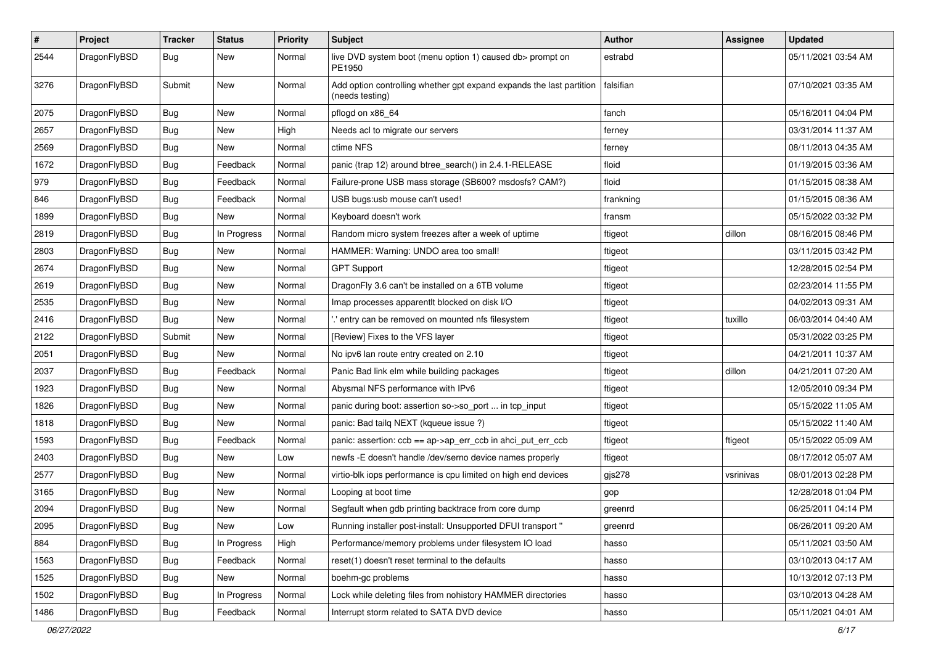| $\pmb{\#}$ | Project      | <b>Tracker</b> | <b>Status</b> | <b>Priority</b> | <b>Subject</b>                                                                          | Author    | Assignee  | <b>Updated</b>      |
|------------|--------------|----------------|---------------|-----------------|-----------------------------------------------------------------------------------------|-----------|-----------|---------------------|
| 2544       | DragonFlyBSD | Bug            | <b>New</b>    | Normal          | live DVD system boot (menu option 1) caused db> prompt on<br>PE1950                     | estrabd   |           | 05/11/2021 03:54 AM |
| 3276       | DragonFlyBSD | Submit         | New           | Normal          | Add option controlling whether gpt expand expands the last partition<br>(needs testing) | falsifian |           | 07/10/2021 03:35 AM |
| 2075       | DragonFlyBSD | Bug            | <b>New</b>    | Normal          | pflogd on x86_64                                                                        | fanch     |           | 05/16/2011 04:04 PM |
| 2657       | DragonFlyBSD | Bug            | New           | High            | Needs acl to migrate our servers                                                        | ferney    |           | 03/31/2014 11:37 AM |
| 2569       | DragonFlyBSD | Bug            | <b>New</b>    | Normal          | ctime NFS                                                                               | ferney    |           | 08/11/2013 04:35 AM |
| 1672       | DragonFlyBSD | <b>Bug</b>     | Feedback      | Normal          | panic (trap 12) around btree search() in 2.4.1-RELEASE                                  | floid     |           | 01/19/2015 03:36 AM |
| 979        | DragonFlyBSD | <b>Bug</b>     | Feedback      | Normal          | Failure-prone USB mass storage (SB600? msdosfs? CAM?)                                   | floid     |           | 01/15/2015 08:38 AM |
| 846        | DragonFlyBSD | Bug            | Feedback      | Normal          | USB bugs:usb mouse can't used!                                                          | frankning |           | 01/15/2015 08:36 AM |
| 1899       | DragonFlyBSD | <b>Bug</b>     | New           | Normal          | Keyboard doesn't work                                                                   | fransm    |           | 05/15/2022 03:32 PM |
| 2819       | DragonFlyBSD | Bug            | In Progress   | Normal          | Random micro system freezes after a week of uptime                                      | ftigeot   | dillon    | 08/16/2015 08:46 PM |
| 2803       | DragonFlyBSD | <b>Bug</b>     | New           | Normal          | HAMMER: Warning: UNDO area too small!                                                   | ftigeot   |           | 03/11/2015 03:42 PM |
| 2674       | DragonFlyBSD | <b>Bug</b>     | <b>New</b>    | Normal          | <b>GPT Support</b>                                                                      | ftigeot   |           | 12/28/2015 02:54 PM |
| 2619       | DragonFlyBSD | Bug            | <b>New</b>    | Normal          | Dragon Fly 3.6 can't be installed on a 6TB volume                                       | ftigeot   |           | 02/23/2014 11:55 PM |
| 2535       | DragonFlyBSD | <b>Bug</b>     | New           | Normal          | Imap processes apparentlt blocked on disk I/O                                           | ftigeot   |           | 04/02/2013 09:31 AM |
| 2416       | DragonFlyBSD | <b>Bug</b>     | New           | Normal          | .' entry can be removed on mounted nfs filesystem                                       | ftigeot   | tuxillo   | 06/03/2014 04:40 AM |
| 2122       | DragonFlyBSD | Submit         | New           | Normal          | [Review] Fixes to the VFS layer                                                         | ftigeot   |           | 05/31/2022 03:25 PM |
| 2051       | DragonFlyBSD | Bug            | New           | Normal          | No ipv6 lan route entry created on 2.10                                                 | ftigeot   |           | 04/21/2011 10:37 AM |
| 2037       | DragonFlyBSD | <b>Bug</b>     | Feedback      | Normal          | Panic Bad link elm while building packages                                              | ftigeot   | dillon    | 04/21/2011 07:20 AM |
| 1923       | DragonFlyBSD | <b>Bug</b>     | New           | Normal          | Abysmal NFS performance with IPv6                                                       | ftigeot   |           | 12/05/2010 09:34 PM |
| 1826       | DragonFlyBSD | <b>Bug</b>     | New           | Normal          | panic during boot: assertion so->so_port  in tcp_input                                  | ftigeot   |           | 05/15/2022 11:05 AM |
| 1818       | DragonFlyBSD | Bug            | New           | Normal          | panic: Bad tailq NEXT (kqueue issue ?)                                                  | ftigeot   |           | 05/15/2022 11:40 AM |
| 1593       | DragonFlyBSD | <b>Bug</b>     | Feedback      | Normal          | panic: assertion: ccb == ap->ap_err_ccb in ahci_put_err_ccb                             | ftigeot   | ftigeot   | 05/15/2022 05:09 AM |
| 2403       | DragonFlyBSD | Bug            | New           | Low             | newfs -E doesn't handle /dev/serno device names properly                                | ftigeot   |           | 08/17/2012 05:07 AM |
| 2577       | DragonFlyBSD | <b>Bug</b>     | New           | Normal          | virtio-blk iops performance is cpu limited on high end devices                          | gjs278    | vsrinivas | 08/01/2013 02:28 PM |
| 3165       | DragonFlyBSD | <b>Bug</b>     | <b>New</b>    | Normal          | Looping at boot time                                                                    | gop       |           | 12/28/2018 01:04 PM |
| 2094       | DragonFlyBSD | Bug            | New           | Normal          | Segfault when gdb printing backtrace from core dump                                     | greenrd   |           | 06/25/2011 04:14 PM |
| 2095       | DragonFlyBSD | <b>Bug</b>     | <b>New</b>    | Low             | Running installer post-install: Unsupported DFUI transport "                            | greenrd   |           | 06/26/2011 09:20 AM |
| 884        | DragonFlyBSD | <b>Bug</b>     | In Progress   | High            | Performance/memory problems under filesystem IO load                                    | hasso     |           | 05/11/2021 03:50 AM |
| 1563       | DragonFlyBSD | Bug            | Feedback      | Normal          | reset(1) doesn't reset terminal to the defaults                                         | hasso     |           | 03/10/2013 04:17 AM |
| 1525       | DragonFlyBSD | <b>Bug</b>     | New           | Normal          | boehm-gc problems                                                                       | hasso     |           | 10/13/2012 07:13 PM |
| 1502       | DragonFlyBSD | <b>Bug</b>     | In Progress   | Normal          | Lock while deleting files from nohistory HAMMER directories                             | hasso     |           | 03/10/2013 04:28 AM |
| 1486       | DragonFlyBSD | <b>Bug</b>     | Feedback      | Normal          | Interrupt storm related to SATA DVD device                                              | hasso     |           | 05/11/2021 04:01 AM |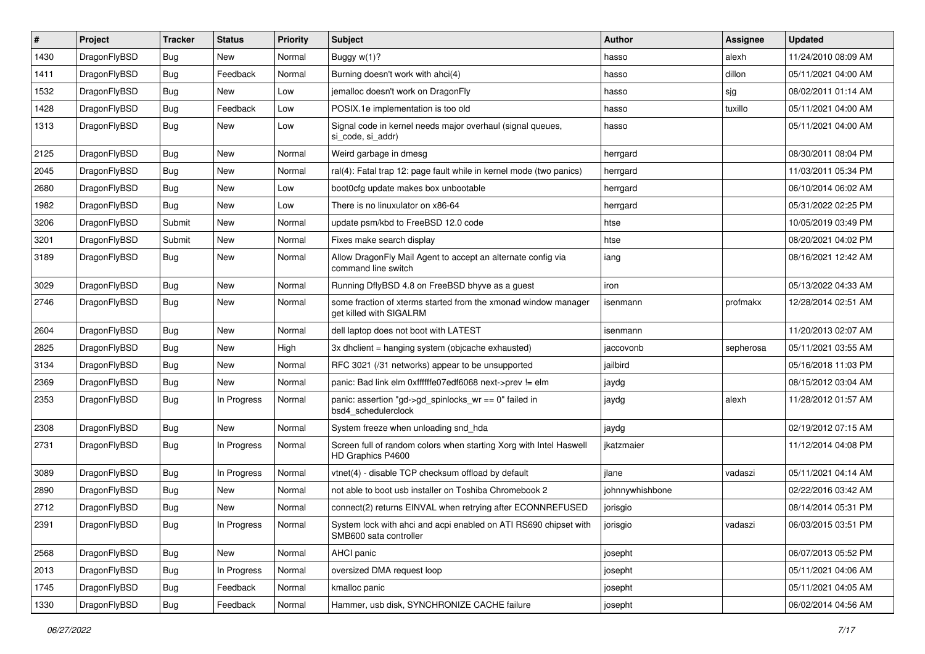| $\sharp$ | Project      | <b>Tracker</b> | <b>Status</b> | <b>Priority</b> | Subject                                                                                    | Author          | Assignee  | <b>Updated</b>      |
|----------|--------------|----------------|---------------|-----------------|--------------------------------------------------------------------------------------------|-----------------|-----------|---------------------|
| 1430     | DragonFlyBSD | <b>Bug</b>     | New           | Normal          | Buggy w(1)?                                                                                | hasso           | alexh     | 11/24/2010 08:09 AM |
| 1411     | DragonFlyBSD | Bug            | Feedback      | Normal          | Burning doesn't work with ahci(4)                                                          | hasso           | dillon    | 05/11/2021 04:00 AM |
| 1532     | DragonFlyBSD | <b>Bug</b>     | New           | Low             | jemalloc doesn't work on DragonFly                                                         | hasso           | sjg       | 08/02/2011 01:14 AM |
| 1428     | DragonFlyBSD | <b>Bug</b>     | Feedback      | Low             | POSIX.1e implementation is too old                                                         | hasso           | tuxillo   | 05/11/2021 04:00 AM |
| 1313     | DragonFlyBSD | Bug            | New           | Low             | Signal code in kernel needs major overhaul (signal queues,<br>si code, si addr)            | hasso           |           | 05/11/2021 04:00 AM |
| 2125     | DragonFlyBSD | Bug            | New           | Normal          | Weird garbage in dmesg                                                                     | herrgard        |           | 08/30/2011 08:04 PM |
| 2045     | DragonFlyBSD | <b>Bug</b>     | New           | Normal          | ral(4): Fatal trap 12: page fault while in kernel mode (two panics)                        | herrgard        |           | 11/03/2011 05:34 PM |
| 2680     | DragonFlyBSD | <b>Bug</b>     | New           | Low             | boot0cfg update makes box unbootable                                                       | herrgard        |           | 06/10/2014 06:02 AM |
| 1982     | DragonFlyBSD | Bug            | <b>New</b>    | Low             | There is no linuxulator on x86-64                                                          | herrgard        |           | 05/31/2022 02:25 PM |
| 3206     | DragonFlyBSD | Submit         | New           | Normal          | update psm/kbd to FreeBSD 12.0 code                                                        | htse            |           | 10/05/2019 03:49 PM |
| 3201     | DragonFlyBSD | Submit         | New           | Normal          | Fixes make search display                                                                  | htse            |           | 08/20/2021 04:02 PM |
| 3189     | DragonFlyBSD | Bug            | New           | Normal          | Allow DragonFly Mail Agent to accept an alternate config via<br>command line switch        | iang            |           | 08/16/2021 12:42 AM |
| 3029     | DragonFlyBSD | Bug            | New           | Normal          | Running DflyBSD 4.8 on FreeBSD bhyve as a guest                                            | iron            |           | 05/13/2022 04:33 AM |
| 2746     | DragonFlyBSD | <b>Bug</b>     | <b>New</b>    | Normal          | some fraction of xterms started from the xmonad window manager<br>get killed with SIGALRM  | isenmann        | profmakx  | 12/28/2014 02:51 AM |
| 2604     | DragonFlyBSD | <b>Bug</b>     | New           | Normal          | dell laptop does not boot with LATEST                                                      | isenmann        |           | 11/20/2013 02:07 AM |
| 2825     | DragonFlyBSD | <b>Bug</b>     | New           | High            | $3x$ dhclient = hanging system (objcache exhausted)                                        | jaccovonb       | sepherosa | 05/11/2021 03:55 AM |
| 3134     | DragonFlyBSD | <b>Bug</b>     | New           | Normal          | RFC 3021 (/31 networks) appear to be unsupported                                           | jailbird        |           | 05/16/2018 11:03 PM |
| 2369     | DragonFlyBSD | <b>Bug</b>     | New           | Normal          | panic: Bad link elm 0xffffffe07edf6068 next->prev != elm                                   | jaydg           |           | 08/15/2012 03:04 AM |
| 2353     | DragonFlyBSD | <b>Bug</b>     | In Progress   | Normal          | panic: assertion "gd->gd_spinlocks_wr == 0" failed in<br>bsd4_schedulerclock               | jaydg           | alexh     | 11/28/2012 01:57 AM |
| 2308     | DragonFlyBSD | <b>Bug</b>     | <b>New</b>    | Normal          | System freeze when unloading snd hda                                                       | jaydg           |           | 02/19/2012 07:15 AM |
| 2731     | DragonFlyBSD | <b>Bug</b>     | In Progress   | Normal          | Screen full of random colors when starting Xorg with Intel Haswell<br>HD Graphics P4600    | jkatzmaier      |           | 11/12/2014 04:08 PM |
| 3089     | DragonFlyBSD | <b>Bug</b>     | In Progress   | Normal          | vtnet(4) - disable TCP checksum offload by default                                         | jlane           | vadaszi   | 05/11/2021 04:14 AM |
| 2890     | DragonFlyBSD | <b>Bug</b>     | <b>New</b>    | Normal          | not able to boot usb installer on Toshiba Chromebook 2                                     | johnnywhishbone |           | 02/22/2016 03:42 AM |
| 2712     | DragonFlyBSD | <b>Bug</b>     | New           | Normal          | connect(2) returns EINVAL when retrying after ECONNREFUSED                                 | jorisgio        |           | 08/14/2014 05:31 PM |
| 2391     | DragonFlyBSD | <b>Bug</b>     | In Progress   | Normal          | System lock with ahci and acpi enabled on ATI RS690 chipset with<br>SMB600 sata controller | jorisgio        | vadaszi   | 06/03/2015 03:51 PM |
| 2568     | DragonFlyBSD | <b>Bug</b>     | New           | Normal          | AHCI panic                                                                                 | josepht         |           | 06/07/2013 05:52 PM |
| 2013     | DragonFlyBSD | <b>Bug</b>     | In Progress   | Normal          | oversized DMA request loop                                                                 | josepht         |           | 05/11/2021 04:06 AM |
| 1745     | DragonFlyBSD | <b>Bug</b>     | Feedback      | Normal          | kmalloc panic                                                                              | josepht         |           | 05/11/2021 04:05 AM |
| 1330     | DragonFlyBSD | <b>Bug</b>     | Feedback      | Normal          | Hammer, usb disk, SYNCHRONIZE CACHE failure                                                | josepht         |           | 06/02/2014 04:56 AM |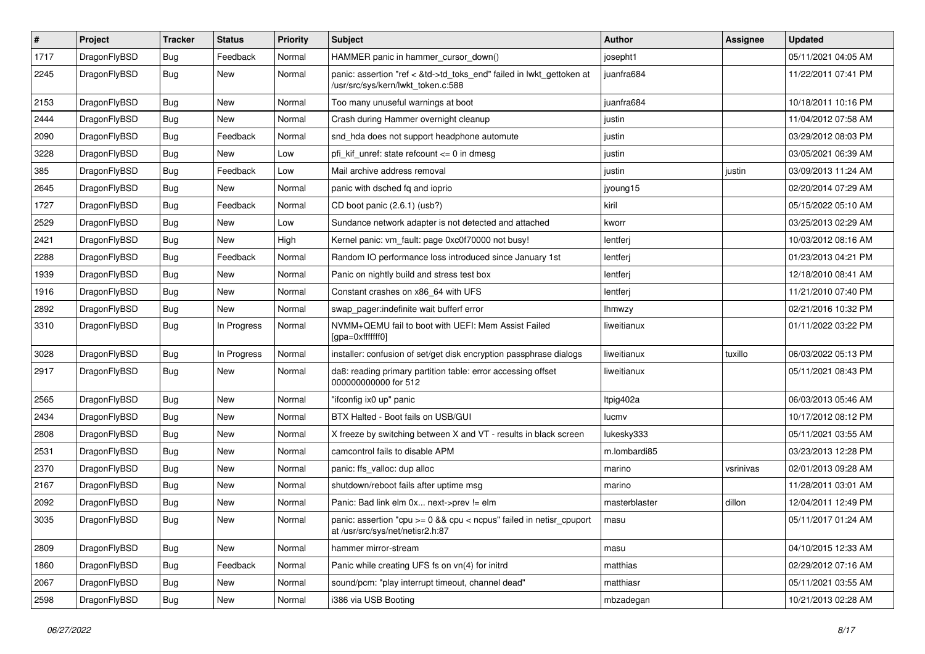| $\sharp$ | Project      | <b>Tracker</b> | <b>Status</b> | <b>Priority</b> | Subject                                                                                                    | Author        | Assignee  | <b>Updated</b>      |
|----------|--------------|----------------|---------------|-----------------|------------------------------------------------------------------------------------------------------------|---------------|-----------|---------------------|
| 1717     | DragonFlyBSD | <b>Bug</b>     | Feedback      | Normal          | HAMMER panic in hammer_cursor_down()                                                                       | josepht1      |           | 05/11/2021 04:05 AM |
| 2245     | DragonFlyBSD | <b>Bug</b>     | <b>New</b>    | Normal          | panic: assertion "ref < &td->td_toks_end" failed in lwkt_gettoken at<br>/usr/src/sys/kern/lwkt_token.c:588 | juanfra684    |           | 11/22/2011 07:41 PM |
| 2153     | DragonFlyBSD | <b>Bug</b>     | New           | Normal          | Too many unuseful warnings at boot                                                                         | juanfra684    |           | 10/18/2011 10:16 PM |
| 2444     | DragonFlyBSD | <b>Bug</b>     | <b>New</b>    | Normal          | Crash during Hammer overnight cleanup                                                                      | justin        |           | 11/04/2012 07:58 AM |
| 2090     | DragonFlyBSD | <b>Bug</b>     | Feedback      | Normal          | snd_hda does not support headphone automute                                                                | justin        |           | 03/29/2012 08:03 PM |
| 3228     | DragonFlyBSD | <b>Bug</b>     | <b>New</b>    | Low             | pfi_kif_unref: state refcount <= 0 in dmesg                                                                | justin        |           | 03/05/2021 06:39 AM |
| 385      | DragonFlyBSD | <b>Bug</b>     | Feedback      | Low             | Mail archive address removal                                                                               | justin        | justin    | 03/09/2013 11:24 AM |
| 2645     | DragonFlyBSD | <b>Bug</b>     | New           | Normal          | panic with dsched fq and ioprio                                                                            | jyoung15      |           | 02/20/2014 07:29 AM |
| 1727     | DragonFlyBSD | <b>Bug</b>     | Feedback      | Normal          | CD boot panic (2.6.1) (usb?)                                                                               | kiril         |           | 05/15/2022 05:10 AM |
| 2529     | DragonFlyBSD | <b>Bug</b>     | New           | Low             | Sundance network adapter is not detected and attached                                                      | kworr         |           | 03/25/2013 02:29 AM |
| 2421     | DragonFlyBSD | <b>Bug</b>     | New           | High            | Kernel panic: vm_fault: page 0xc0f70000 not busy!                                                          | lentferj      |           | 10/03/2012 08:16 AM |
| 2288     | DragonFlyBSD | <b>Bug</b>     | Feedback      | Normal          | Random IO performance loss introduced since January 1st                                                    | lentferj      |           | 01/23/2013 04:21 PM |
| 1939     | DragonFlyBSD | <b>Bug</b>     | <b>New</b>    | Normal          | Panic on nightly build and stress test box                                                                 | lentferj      |           | 12/18/2010 08:41 AM |
| 1916     | DragonFlyBSD | <b>Bug</b>     | New           | Normal          | Constant crashes on x86_64 with UFS                                                                        | lentferj      |           | 11/21/2010 07:40 PM |
| 2892     | DragonFlyBSD | <b>Bug</b>     | New           | Normal          | swap_pager:indefinite wait bufferf error                                                                   | lhmwzy        |           | 02/21/2016 10:32 PM |
| 3310     | DragonFlyBSD | <b>Bug</b>     | In Progress   | Normal          | NVMM+QEMU fail to boot with UEFI: Mem Assist Failed<br>[gpa=0xfffffff0]                                    | liweitianux   |           | 01/11/2022 03:22 PM |
| 3028     | DragonFlyBSD | <b>Bug</b>     | In Progress   | Normal          | installer: confusion of set/get disk encryption passphrase dialogs                                         | liweitianux   | tuxillo   | 06/03/2022 05:13 PM |
| 2917     | DragonFlyBSD | <b>Bug</b>     | New           | Normal          | da8: reading primary partition table: error accessing offset<br>000000000000 for 512                       | liweitianux   |           | 05/11/2021 08:43 PM |
| 2565     | DragonFlyBSD | <b>Bug</b>     | New           | Normal          | "ifconfig ix0 up" panic                                                                                    | Itpig402a     |           | 06/03/2013 05:46 AM |
| 2434     | DragonFlyBSD | <b>Bug</b>     | <b>New</b>    | Normal          | BTX Halted - Boot fails on USB/GUI                                                                         | lucmv         |           | 10/17/2012 08:12 PM |
| 2808     | DragonFlyBSD | <b>Bug</b>     | New           | Normal          | X freeze by switching between X and VT - results in black screen                                           | lukesky333    |           | 05/11/2021 03:55 AM |
| 2531     | DragonFlyBSD | <b>Bug</b>     | New           | Normal          | camcontrol fails to disable APM                                                                            | m.lombardi85  |           | 03/23/2013 12:28 PM |
| 2370     | DragonFlyBSD | <b>Bug</b>     | New           | Normal          | panic: ffs_valloc: dup alloc                                                                               | marino        | vsrinivas | 02/01/2013 09:28 AM |
| 2167     | DragonFlyBSD | <b>Bug</b>     | <b>New</b>    | Normal          | shutdown/reboot fails after uptime msg                                                                     | marino        |           | 11/28/2011 03:01 AM |
| 2092     | DragonFlyBSD | <b>Bug</b>     | New           | Normal          | Panic: Bad link elm 0x next->prev != elm                                                                   | masterblaster | dillon    | 12/04/2011 12:49 PM |
| 3035     | DragonFlyBSD | i Bug          | New           | Normal          | panic: assertion "cpu >= 0 && cpu < ncpus" failed in netisr_cpuport<br>at /usr/src/sys/net/netisr2.h:87    | masu          |           | 05/11/2017 01:24 AM |
| 2809     | DragonFlyBSD | <b>Bug</b>     | New           | Normal          | hammer mirror-stream                                                                                       | masu          |           | 04/10/2015 12:33 AM |
| 1860     | DragonFlyBSD | <b>Bug</b>     | Feedback      | Normal          | Panic while creating UFS fs on vn(4) for initrd                                                            | matthias      |           | 02/29/2012 07:16 AM |
| 2067     | DragonFlyBSD | <b>Bug</b>     | New           | Normal          | sound/pcm: "play interrupt timeout, channel dead"                                                          | matthiasr     |           | 05/11/2021 03:55 AM |
| 2598     | DragonFlyBSD | <b>Bug</b>     | New           | Normal          | i386 via USB Booting                                                                                       | mbzadegan     |           | 10/21/2013 02:28 AM |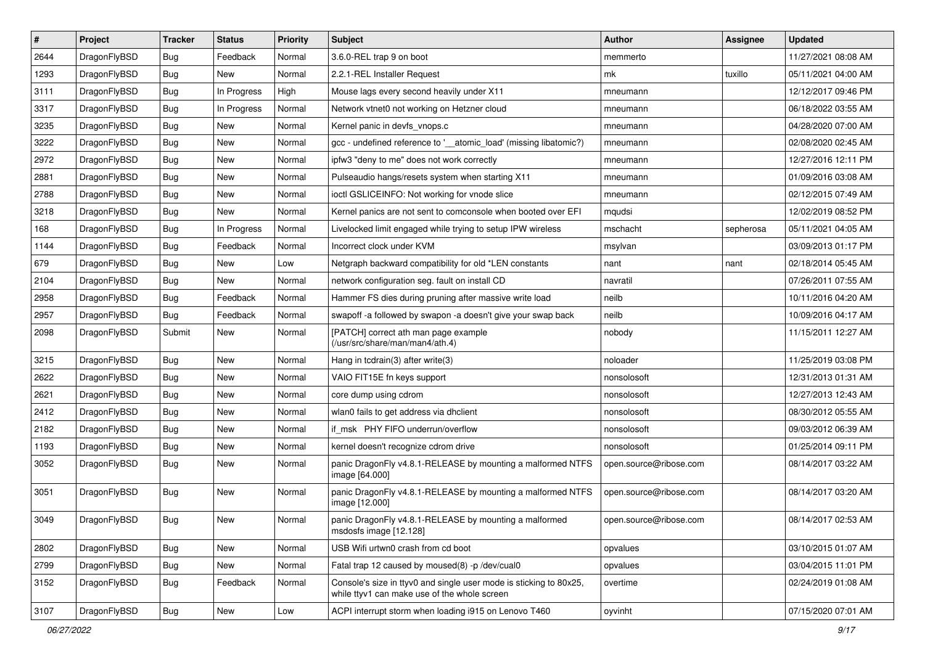| #    | Project      | <b>Tracker</b> | <b>Status</b> | <b>Priority</b> | Subject                                                                                                            | <b>Author</b>          | Assignee  | <b>Updated</b>      |
|------|--------------|----------------|---------------|-----------------|--------------------------------------------------------------------------------------------------------------------|------------------------|-----------|---------------------|
| 2644 | DragonFlyBSD | <b>Bug</b>     | Feedback      | Normal          | 3.6.0-REL trap 9 on boot                                                                                           | memmerto               |           | 11/27/2021 08:08 AM |
| 1293 | DragonFlyBSD | <b>Bug</b>     | <b>New</b>    | Normal          | 2.2.1-REL Installer Request                                                                                        | mk                     | tuxillo   | 05/11/2021 04:00 AM |
| 3111 | DragonFlyBSD | Bug            | In Progress   | High            | Mouse lags every second heavily under X11                                                                          | mneumann               |           | 12/12/2017 09:46 PM |
| 3317 | DragonFlyBSD | Bug            | In Progress   | Normal          | Network vtnet0 not working on Hetzner cloud                                                                        | mneumann               |           | 06/18/2022 03:55 AM |
| 3235 | DragonFlyBSD | Bug            | <b>New</b>    | Normal          | Kernel panic in devfs vnops.c                                                                                      | mneumann               |           | 04/28/2020 07:00 AM |
| 3222 | DragonFlyBSD | Bug            | New           | Normal          | gcc - undefined reference to '_atomic_load' (missing libatomic?)                                                   | mneumann               |           | 02/08/2020 02:45 AM |
| 2972 | DragonFlyBSD | Bug            | New           | Normal          | ipfw3 "deny to me" does not work correctly                                                                         | mneumann               |           | 12/27/2016 12:11 PM |
| 2881 | DragonFlyBSD | Bug            | <b>New</b>    | Normal          | Pulseaudio hangs/resets system when starting X11                                                                   | mneumann               |           | 01/09/2016 03:08 AM |
| 2788 | DragonFlyBSD | Bug            | New           | Normal          | ioctl GSLICEINFO: Not working for vnode slice                                                                      | mneumann               |           | 02/12/2015 07:49 AM |
| 3218 | DragonFlyBSD | Bug            | New           | Normal          | Kernel panics are not sent to comconsole when booted over EFI                                                      | mqudsi                 |           | 12/02/2019 08:52 PM |
| 168  | DragonFlyBSD | Bug            | In Progress   | Normal          | Livelocked limit engaged while trying to setup IPW wireless                                                        | mschacht               | sepherosa | 05/11/2021 04:05 AM |
| 1144 | DragonFlyBSD | Bug            | Feedback      | Normal          | Incorrect clock under KVM                                                                                          | msylvan                |           | 03/09/2013 01:17 PM |
| 679  | DragonFlyBSD | Bug            | New           | Low             | Netgraph backward compatibility for old *LEN constants                                                             | nant                   | nant      | 02/18/2014 05:45 AM |
| 2104 | DragonFlyBSD | Bug            | New           | Normal          | network configuration seg. fault on install CD                                                                     | navratil               |           | 07/26/2011 07:55 AM |
| 2958 | DragonFlyBSD | Bug            | Feedback      | Normal          | Hammer FS dies during pruning after massive write load                                                             | neilb                  |           | 10/11/2016 04:20 AM |
| 2957 | DragonFlyBSD | <b>Bug</b>     | Feedback      | Normal          | swapoff -a followed by swapon -a doesn't give your swap back                                                       | neilb                  |           | 10/09/2016 04:17 AM |
| 2098 | DragonFlyBSD | Submit         | New           | Normal          | [PATCH] correct ath man page example<br>(/usr/src/share/man/man4/ath.4)                                            | nobody                 |           | 11/15/2011 12:27 AM |
| 3215 | DragonFlyBSD | Bug            | New           | Normal          | Hang in todrain(3) after write(3)                                                                                  | noloader               |           | 11/25/2019 03:08 PM |
| 2622 | DragonFlyBSD | <b>Bug</b>     | New           | Normal          | VAIO FIT15E fn keys support                                                                                        | nonsolosoft            |           | 12/31/2013 01:31 AM |
| 2621 | DragonFlyBSD | <b>Bug</b>     | New           | Normal          | core dump using cdrom                                                                                              | nonsolosoft            |           | 12/27/2013 12:43 AM |
| 2412 | DragonFlyBSD | <b>Bug</b>     | <b>New</b>    | Normal          | wlan0 fails to get address via dhclient                                                                            | nonsolosoft            |           | 08/30/2012 05:55 AM |
| 2182 | DragonFlyBSD | Bug            | <b>New</b>    | Normal          | if_msk PHY FIFO underrun/overflow                                                                                  | nonsolosoft            |           | 09/03/2012 06:39 AM |
| 1193 | DragonFlyBSD | <b>Bug</b>     | New           | Normal          | kernel doesn't recognize cdrom drive                                                                               | nonsolosoft            |           | 01/25/2014 09:11 PM |
| 3052 | DragonFlyBSD | <b>Bug</b>     | New           | Normal          | panic DragonFly v4.8.1-RELEASE by mounting a malformed NTFS<br>image [64.000]                                      | open.source@ribose.com |           | 08/14/2017 03:22 AM |
| 3051 | DragonFlyBSD | Bug            | New           | Normal          | panic DragonFly v4.8.1-RELEASE by mounting a malformed NTFS<br>image [12.000]                                      | open.source@ribose.com |           | 08/14/2017 03:20 AM |
| 3049 | DragonFlyBSD | Bug            | New           | Normal          | panic DragonFly v4.8.1-RELEASE by mounting a malformed<br>msdosfs image [12.128]                                   | open.source@ribose.com |           | 08/14/2017 02:53 AM |
| 2802 | DragonFlyBSD | <b>Bug</b>     | <b>New</b>    | Normal          | USB Wifi urtwn0 crash from cd boot                                                                                 | opvalues               |           | 03/10/2015 01:07 AM |
| 2799 | DragonFlyBSD | <b>Bug</b>     | New           | Normal          | Fatal trap 12 caused by moused(8) -p /dev/cual0                                                                    | opvalues               |           | 03/04/2015 11:01 PM |
| 3152 | DragonFlyBSD | <b>Bug</b>     | Feedback      | Normal          | Console's size in ttyv0 and single user mode is sticking to 80x25,<br>while ttyv1 can make use of the whole screen | overtime               |           | 02/24/2019 01:08 AM |
| 3107 | DragonFlyBSD | Bug            | New           | Low             | ACPI interrupt storm when loading i915 on Lenovo T460                                                              | oyvinht                |           | 07/15/2020 07:01 AM |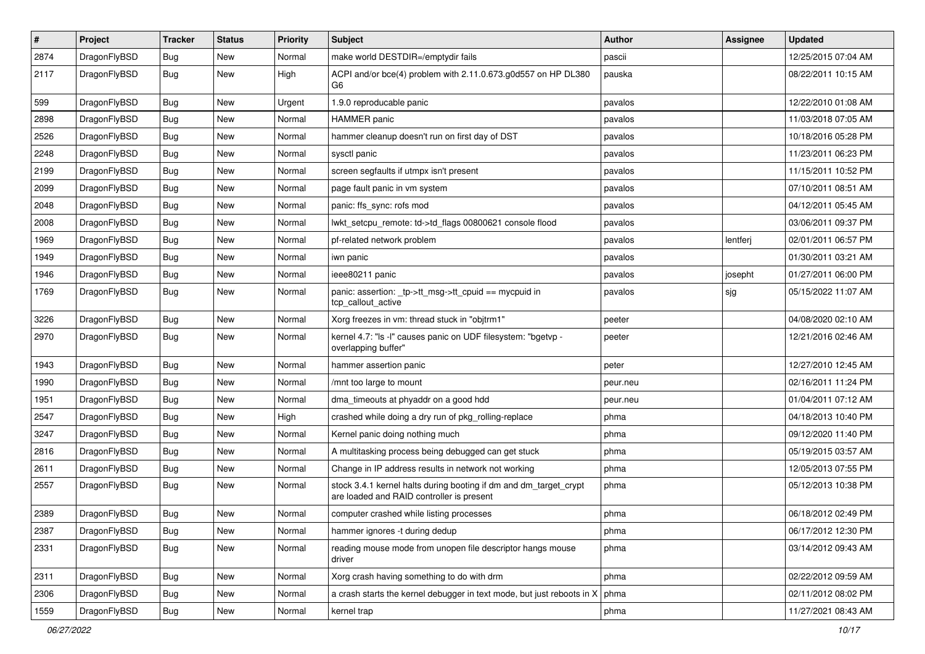| $\pmb{\#}$ | Project      | <b>Tracker</b> | <b>Status</b> | <b>Priority</b> | Subject                                                                                                        | Author   | Assignee | <b>Updated</b>      |
|------------|--------------|----------------|---------------|-----------------|----------------------------------------------------------------------------------------------------------------|----------|----------|---------------------|
| 2874       | DragonFlyBSD | Bug            | New           | Normal          | make world DESTDIR=/emptydir fails                                                                             | pascii   |          | 12/25/2015 07:04 AM |
| 2117       | DragonFlyBSD | Bug            | New           | High            | ACPI and/or bce(4) problem with 2.11.0.673.g0d557 on HP DL380<br>G6                                            | pauska   |          | 08/22/2011 10:15 AM |
| 599        | DragonFlyBSD | Bug            | <b>New</b>    | Urgent          | 1.9.0 reproducable panic                                                                                       | pavalos  |          | 12/22/2010 01:08 AM |
| 2898       | DragonFlyBSD | Bug            | <b>New</b>    | Normal          | <b>HAMMER</b> panic                                                                                            | pavalos  |          | 11/03/2018 07:05 AM |
| 2526       | DragonFlyBSD | <b>Bug</b>     | New           | Normal          | hammer cleanup doesn't run on first day of DST                                                                 | pavalos  |          | 10/18/2016 05:28 PM |
| 2248       | DragonFlyBSD | Bug            | <b>New</b>    | Normal          | sysctl panic                                                                                                   | pavalos  |          | 11/23/2011 06:23 PM |
| 2199       | DragonFlyBSD | Bug            | New           | Normal          | screen segfaults if utmpx isn't present                                                                        | pavalos  |          | 11/15/2011 10:52 PM |
| 2099       | DragonFlyBSD | Bug            | <b>New</b>    | Normal          | page fault panic in vm system                                                                                  | pavalos  |          | 07/10/2011 08:51 AM |
| 2048       | DragonFlyBSD | <b>Bug</b>     | <b>New</b>    | Normal          | panic: ffs_sync: rofs mod                                                                                      | pavalos  |          | 04/12/2011 05:45 AM |
| 2008       | DragonFlyBSD | <b>Bug</b>     | <b>New</b>    | Normal          | lwkt setcpu remote: td->td flags 00800621 console flood                                                        | pavalos  |          | 03/06/2011 09:37 PM |
| 1969       | DragonFlyBSD | Bug            | <b>New</b>    | Normal          | pf-related network problem                                                                                     | pavalos  | lentferj | 02/01/2011 06:57 PM |
| 1949       | DragonFlyBSD | Bug            | <b>New</b>    | Normal          | iwn panic                                                                                                      | pavalos  |          | 01/30/2011 03:21 AM |
| 1946       | DragonFlyBSD | Bug            | New           | Normal          | ieee80211 panic                                                                                                | pavalos  | josepht  | 01/27/2011 06:00 PM |
| 1769       | DragonFlyBSD | Bug            | New           | Normal          | panic: assertion: _tp->tt_msg->tt_cpuid == mycpuid in<br>tcp callout active                                    | pavalos  | sjg      | 05/15/2022 11:07 AM |
| 3226       | DragonFlyBSD | <b>Bug</b>     | <b>New</b>    | Normal          | Xorg freezes in vm: thread stuck in "objtrm1"                                                                  | peeter   |          | 04/08/2020 02:10 AM |
| 2970       | DragonFlyBSD | <b>Bug</b>     | New           | Normal          | kernel 4.7: "Is -I" causes panic on UDF filesystem: "bgetvp -<br>overlapping buffer"                           | peeter   |          | 12/21/2016 02:46 AM |
| 1943       | DragonFlyBSD | <b>Bug</b>     | <b>New</b>    | Normal          | hammer assertion panic                                                                                         | peter    |          | 12/27/2010 12:45 AM |
| 1990       | DragonFlyBSD | Bug            | <b>New</b>    | Normal          | /mnt too large to mount                                                                                        | peur.neu |          | 02/16/2011 11:24 PM |
| 1951       | DragonFlyBSD | Bug            | New           | Normal          | dma_timeouts at phyaddr on a good hdd                                                                          | peur.neu |          | 01/04/2011 07:12 AM |
| 2547       | DragonFlyBSD | Bug            | <b>New</b>    | High            | crashed while doing a dry run of pkg_rolling-replace                                                           | phma     |          | 04/18/2013 10:40 PM |
| 3247       | DragonFlyBSD | Bug            | <b>New</b>    | Normal          | Kernel panic doing nothing much                                                                                | phma     |          | 09/12/2020 11:40 PM |
| 2816       | DragonFlyBSD | <b>Bug</b>     | <b>New</b>    | Normal          | A multitasking process being debugged can get stuck                                                            | phma     |          | 05/19/2015 03:57 AM |
| 2611       | DragonFlyBSD | Bug            | <b>New</b>    | Normal          | Change in IP address results in network not working                                                            | phma     |          | 12/05/2013 07:55 PM |
| 2557       | DragonFlyBSD | Bug            | New           | Normal          | stock 3.4.1 kernel halts during booting if dm and dm_target_crypt<br>are loaded and RAID controller is present | phma     |          | 05/12/2013 10:38 PM |
| 2389       | DragonFlyBSD | Bug            | <b>New</b>    | Normal          | computer crashed while listing processes                                                                       | phma     |          | 06/18/2012 02:49 PM |
| 2387       | DragonFlyBSD | <b>Bug</b>     | New           | Normal          | hammer ignores -t during dedup                                                                                 | phma     |          | 06/17/2012 12:30 PM |
| 2331       | DragonFlyBSD | <b>Bug</b>     | New           | Normal          | reading mouse mode from unopen file descriptor hangs mouse<br>driver                                           | phma     |          | 03/14/2012 09:43 AM |
| 2311       | DragonFlyBSD | Bug            | New           | Normal          | Xorg crash having something to do with drm                                                                     | phma     |          | 02/22/2012 09:59 AM |
| 2306       | DragonFlyBSD | Bug            | New           | Normal          | a crash starts the kernel debugger in text mode, but just reboots in X                                         | phma     |          | 02/11/2012 08:02 PM |
| 1559       | DragonFlyBSD | Bug            | New           | Normal          | kernel trap                                                                                                    | phma     |          | 11/27/2021 08:43 AM |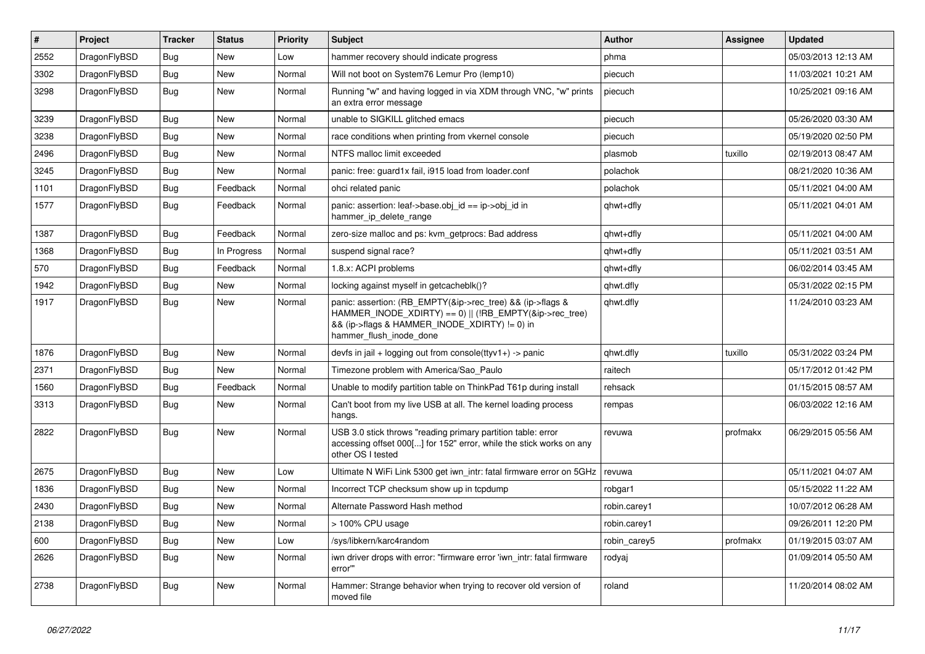| $\pmb{\#}$ | Project      | <b>Tracker</b> | <b>Status</b> | <b>Priority</b> | Subject                                                                                                                                                                                           | Author       | Assignee | <b>Updated</b>      |
|------------|--------------|----------------|---------------|-----------------|---------------------------------------------------------------------------------------------------------------------------------------------------------------------------------------------------|--------------|----------|---------------------|
| 2552       | DragonFlyBSD | Bug            | New           | Low             | hammer recovery should indicate progress                                                                                                                                                          | phma         |          | 05/03/2013 12:13 AM |
| 3302       | DragonFlyBSD | Bug            | New           | Normal          | Will not boot on System76 Lemur Pro (lemp10)                                                                                                                                                      | piecuch      |          | 11/03/2021 10:21 AM |
| 3298       | DragonFlyBSD | Bug            | New           | Normal          | Running "w" and having logged in via XDM through VNC, "w" prints<br>an extra error message                                                                                                        | piecuch      |          | 10/25/2021 09:16 AM |
| 3239       | DragonFlyBSD | Bug            | <b>New</b>    | Normal          | unable to SIGKILL glitched emacs                                                                                                                                                                  | piecuch      |          | 05/26/2020 03:30 AM |
| 3238       | DragonFlyBSD | Bug            | New           | Normal          | race conditions when printing from vkernel console                                                                                                                                                | piecuch      |          | 05/19/2020 02:50 PM |
| 2496       | DragonFlyBSD | <b>Bug</b>     | New           | Normal          | NTFS malloc limit exceeded                                                                                                                                                                        | plasmob      | tuxillo  | 02/19/2013 08:47 AM |
| 3245       | DragonFlyBSD | Bug            | New           | Normal          | panic: free: guard1x fail, i915 load from loader.conf                                                                                                                                             | polachok     |          | 08/21/2020 10:36 AM |
| 1101       | DragonFlyBSD | Bug            | Feedback      | Normal          | ohci related panic                                                                                                                                                                                | polachok     |          | 05/11/2021 04:00 AM |
| 1577       | DragonFlyBSD | Bug            | Feedback      | Normal          | panic: assertion: leaf->base.obj_id == ip->obj_id in<br>hammer_ip_delete_range                                                                                                                    | qhwt+dfly    |          | 05/11/2021 04:01 AM |
| 1387       | DragonFlyBSD | Bug            | Feedback      | Normal          | zero-size malloc and ps: kvm_getprocs: Bad address                                                                                                                                                | qhwt+dfly    |          | 05/11/2021 04:00 AM |
| 1368       | DragonFlyBSD | Bug            | In Progress   | Normal          | suspend signal race?                                                                                                                                                                              | qhwt+dfly    |          | 05/11/2021 03:51 AM |
| 570        | DragonFlyBSD | Bug            | Feedback      | Normal          | 1.8.x: ACPI problems                                                                                                                                                                              | qhwt+dfly    |          | 06/02/2014 03:45 AM |
| 1942       | DragonFlyBSD | Bug            | <b>New</b>    | Normal          | locking against myself in getcacheblk()?                                                                                                                                                          | qhwt.dfly    |          | 05/31/2022 02:15 PM |
| 1917       | DragonFlyBSD | Bug            | New           | Normal          | panic: assertion: (RB_EMPTY(&ip->rec_tree) && (ip->flags &<br>HAMMER_INODE_XDIRTY) == 0)    (!RB_EMPTY(&ip->rec_tree)<br>&& (ip->flags & HAMMER_INODE_XDIRTY) != 0) in<br>hammer_flush_inode_done | qhwt.dfly    |          | 11/24/2010 03:23 AM |
| 1876       | DragonFlyBSD | Bug            | <b>New</b>    | Normal          | devfs in jail + logging out from console(ttyv1+) -> panic                                                                                                                                         | qhwt.dfly    | tuxillo  | 05/31/2022 03:24 PM |
| 2371       | DragonFlyBSD | Bug            | <b>New</b>    | Normal          | Timezone problem with America/Sao_Paulo                                                                                                                                                           | raitech      |          | 05/17/2012 01:42 PM |
| 1560       | DragonFlyBSD | Bug            | Feedback      | Normal          | Unable to modify partition table on ThinkPad T61p during install                                                                                                                                  | rehsack      |          | 01/15/2015 08:57 AM |
| 3313       | DragonFlyBSD | Bug            | New           | Normal          | Can't boot from my live USB at all. The kernel loading process<br>hangs.                                                                                                                          | rempas       |          | 06/03/2022 12:16 AM |
| 2822       | DragonFlyBSD | Bug            | <b>New</b>    | Normal          | USB 3.0 stick throws "reading primary partition table: error<br>accessing offset 000[] for 152" error, while the stick works on any<br>other OS I tested                                          | revuwa       | profmakx | 06/29/2015 05:56 AM |
| 2675       | DragonFlyBSD | <b>Bug</b>     | <b>New</b>    | Low             | Ultimate N WiFi Link 5300 get iwn_intr: fatal firmware error on 5GHz                                                                                                                              | revuwa       |          | 05/11/2021 04:07 AM |
| 1836       | DragonFlyBSD | Bug            | New           | Normal          | Incorrect TCP checksum show up in tcpdump                                                                                                                                                         | robgar1      |          | 05/15/2022 11:22 AM |
| 2430       | DragonFlyBSD | Bug            | New           | Normal          | Alternate Password Hash method                                                                                                                                                                    | robin.carey1 |          | 10/07/2012 06:28 AM |
| 2138       | DragonFlyBSD | <b>Bug</b>     | New           | Normal          | > 100% CPU usage                                                                                                                                                                                  | robin.carey1 |          | 09/26/2011 12:20 PM |
| 600        | DragonFlyBSD | <b>Bug</b>     | New           | Low             | /sys/libkern/karc4random                                                                                                                                                                          | robin_carey5 | profmakx | 01/19/2015 03:07 AM |
| 2626       | DragonFlyBSD | Bug            | New           | Normal          | iwn driver drops with error: "firmware error 'iwn_intr: fatal firmware<br>error"                                                                                                                  | rodyaj       |          | 01/09/2014 05:50 AM |
| 2738       | DragonFlyBSD | Bug            | New           | Normal          | Hammer: Strange behavior when trying to recover old version of<br>moved file                                                                                                                      | roland       |          | 11/20/2014 08:02 AM |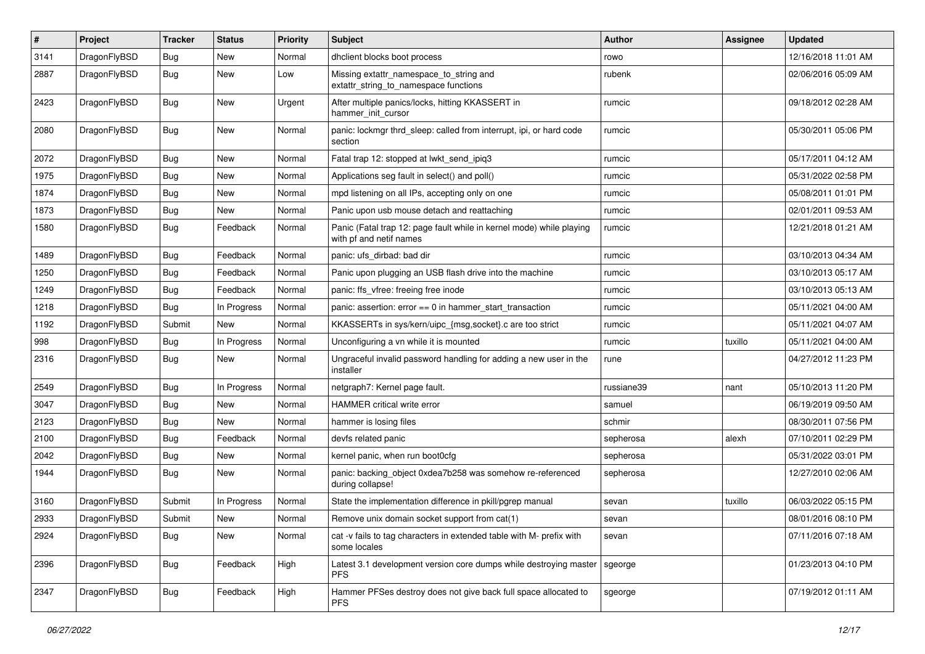| $\sharp$ | Project      | <b>Tracker</b> | <b>Status</b> | <b>Priority</b> | <b>Subject</b>                                                                                  | <b>Author</b> | Assignee | <b>Updated</b>      |
|----------|--------------|----------------|---------------|-----------------|-------------------------------------------------------------------------------------------------|---------------|----------|---------------------|
| 3141     | DragonFlyBSD | <b>Bug</b>     | New           | Normal          | dhclient blocks boot process                                                                    | rowo          |          | 12/16/2018 11:01 AM |
| 2887     | DragonFlyBSD | Bug            | New           | Low             | Missing extattr_namespace_to_string and<br>extattr_string_to_namespace functions                | rubenk        |          | 02/06/2016 05:09 AM |
| 2423     | DragonFlyBSD | Bug            | <b>New</b>    | Urgent          | After multiple panics/locks, hitting KKASSERT in<br>hammer init cursor                          | rumcic        |          | 09/18/2012 02:28 AM |
| 2080     | DragonFlyBSD | Bug            | New           | Normal          | panic: lockmgr thrd_sleep: called from interrupt, ipi, or hard code<br>section                  | rumcic        |          | 05/30/2011 05:06 PM |
| 2072     | DragonFlyBSD | Bug            | New           | Normal          | Fatal trap 12: stopped at lwkt send ipig3                                                       | rumcic        |          | 05/17/2011 04:12 AM |
| 1975     | DragonFlyBSD | <b>Bug</b>     | New           | Normal          | Applications seg fault in select() and poll()                                                   | rumcic        |          | 05/31/2022 02:58 PM |
| 1874     | DragonFlyBSD | <b>Bug</b>     | <b>New</b>    | Normal          | mpd listening on all IPs, accepting only on one                                                 | rumcic        |          | 05/08/2011 01:01 PM |
| 1873     | DragonFlyBSD | <b>Bug</b>     | New           | Normal          | Panic upon usb mouse detach and reattaching                                                     | rumcic        |          | 02/01/2011 09:53 AM |
| 1580     | DragonFlyBSD | <b>Bug</b>     | Feedback      | Normal          | Panic (Fatal trap 12: page fault while in kernel mode) while playing<br>with pf and netif names | rumcic        |          | 12/21/2018 01:21 AM |
| 1489     | DragonFlyBSD | Bug            | Feedback      | Normal          | panic: ufs dirbad: bad dir                                                                      | rumcic        |          | 03/10/2013 04:34 AM |
| 1250     | DragonFlyBSD | Bug            | Feedback      | Normal          | Panic upon plugging an USB flash drive into the machine                                         | rumcic        |          | 03/10/2013 05:17 AM |
| 1249     | DragonFlyBSD | <b>Bug</b>     | Feedback      | Normal          | panic: ffs vfree: freeing free inode                                                            | rumcic        |          | 03/10/2013 05:13 AM |
| 1218     | DragonFlyBSD | <b>Bug</b>     | In Progress   | Normal          | panic: assertion: error == 0 in hammer_start_transaction                                        | rumcic        |          | 05/11/2021 04:00 AM |
| 1192     | DragonFlyBSD | Submit         | <b>New</b>    | Normal          | KKASSERTs in sys/kern/uipc_{msg,socket}.c are too strict                                        | rumcic        |          | 05/11/2021 04:07 AM |
| 998      | DragonFlyBSD | <b>Bug</b>     | In Progress   | Normal          | Unconfiguring a vn while it is mounted                                                          | rumcic        | tuxillo  | 05/11/2021 04:00 AM |
| 2316     | DragonFlyBSD | <b>Bug</b>     | <b>New</b>    | Normal          | Ungraceful invalid password handling for adding a new user in the<br>installer                  | rune          |          | 04/27/2012 11:23 PM |
| 2549     | DragonFlyBSD | Bug            | In Progress   | Normal          | netgraph7: Kernel page fault.                                                                   | russiane39    | nant     | 05/10/2013 11:20 PM |
| 3047     | DragonFlyBSD | Bug            | New           | Normal          | HAMMER critical write error                                                                     | samuel        |          | 06/19/2019 09:50 AM |
| 2123     | DragonFlyBSD | <b>Bug</b>     | New           | Normal          | hammer is losing files                                                                          | schmir        |          | 08/30/2011 07:56 PM |
| 2100     | DragonFlyBSD | <b>Bug</b>     | Feedback      | Normal          | devfs related panic                                                                             | sepherosa     | alexh    | 07/10/2011 02:29 PM |
| 2042     | DragonFlyBSD | <b>Bug</b>     | New           | Normal          | kernel panic, when run boot0cfg                                                                 | sepherosa     |          | 05/31/2022 03:01 PM |
| 1944     | DragonFlyBSD | <b>Bug</b>     | New           | Normal          | panic: backing_object 0xdea7b258 was somehow re-referenced<br>during collapse!                  | sepherosa     |          | 12/27/2010 02:06 AM |
| 3160     | DragonFlyBSD | Submit         | In Progress   | Normal          | State the implementation difference in pkill/pgrep manual                                       | sevan         | tuxillo  | 06/03/2022 05:15 PM |
| 2933     | DragonFlyBSD | Submit         | <b>New</b>    | Normal          | Remove unix domain socket support from cat(1)                                                   | sevan         |          | 08/01/2016 08:10 PM |
| 2924     | DragonFlyBSD | <b>Bug</b>     | New           | Normal          | cat -v fails to tag characters in extended table with M- prefix with<br>some locales            | sevan         |          | 07/11/2016 07:18 AM |
| 2396     | DragonFlyBSD | Bug            | Feedback      | High            | Latest 3.1 development version core dumps while destroying master<br><b>PFS</b>                 | sgeorge       |          | 01/23/2013 04:10 PM |
| 2347     | DragonFlyBSD | <b>Bug</b>     | Feedback      | High            | Hammer PFSes destroy does not give back full space allocated to<br><b>PFS</b>                   | sgeorge       |          | 07/19/2012 01:11 AM |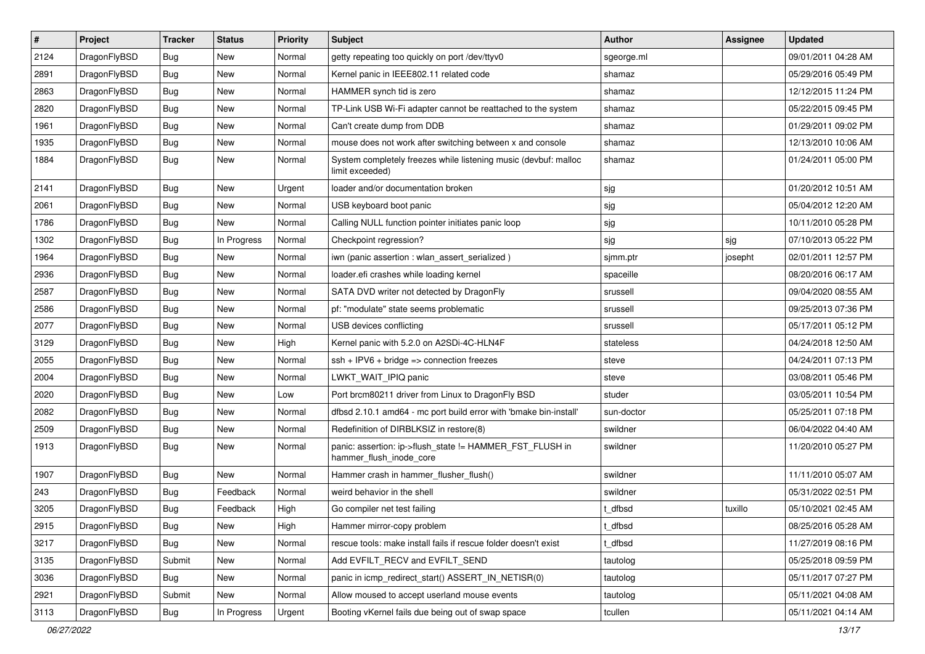| $\pmb{\#}$ | Project      | <b>Tracker</b> | <b>Status</b> | <b>Priority</b> | Subject                                                                             | <b>Author</b> | Assignee | <b>Updated</b>      |
|------------|--------------|----------------|---------------|-----------------|-------------------------------------------------------------------------------------|---------------|----------|---------------------|
| 2124       | DragonFlyBSD | Bug            | <b>New</b>    | Normal          | getty repeating too quickly on port /dev/ttyv0                                      | sgeorge.ml    |          | 09/01/2011 04:28 AM |
| 2891       | DragonFlyBSD | Bug            | <b>New</b>    | Normal          | Kernel panic in IEEE802.11 related code                                             | shamaz        |          | 05/29/2016 05:49 PM |
| 2863       | DragonFlyBSD | Bug            | <b>New</b>    | Normal          | HAMMER synch tid is zero                                                            | shamaz        |          | 12/12/2015 11:24 PM |
| 2820       | DragonFlyBSD | Bug            | <b>New</b>    | Normal          | TP-Link USB Wi-Fi adapter cannot be reattached to the system                        | shamaz        |          | 05/22/2015 09:45 PM |
| 1961       | DragonFlyBSD | Bug            | <b>New</b>    | Normal          | Can't create dump from DDB                                                          | shamaz        |          | 01/29/2011 09:02 PM |
| 1935       | DragonFlyBSD | Bug            | New           | Normal          | mouse does not work after switching between x and console                           | shamaz        |          | 12/13/2010 10:06 AM |
| 1884       | DragonFlyBSD | Bug            | <b>New</b>    | Normal          | System completely freezes while listening music (devbuf: malloc<br>limit exceeded)  | shamaz        |          | 01/24/2011 05:00 PM |
| 2141       | DragonFlyBSD | Bug            | <b>New</b>    | Urgent          | loader and/or documentation broken                                                  | sjg           |          | 01/20/2012 10:51 AM |
| 2061       | DragonFlyBSD | Bug            | New           | Normal          | USB keyboard boot panic                                                             | sjg           |          | 05/04/2012 12:20 AM |
| 1786       | DragonFlyBSD | Bug            | <b>New</b>    | Normal          | Calling NULL function pointer initiates panic loop                                  | sjg           |          | 10/11/2010 05:28 PM |
| 1302       | DragonFlyBSD | Bug            | In Progress   | Normal          | Checkpoint regression?                                                              | sjg           | sjg      | 07/10/2013 05:22 PM |
| 1964       | DragonFlyBSD | Bug            | <b>New</b>    | Normal          | iwn (panic assertion : wlan assert serialized)                                      | sjmm.ptr      | josepht  | 02/01/2011 12:57 PM |
| 2936       | DragonFlyBSD | Bug            | <b>New</b>    | Normal          | loader.efi crashes while loading kernel                                             | spaceille     |          | 08/20/2016 06:17 AM |
| 2587       | DragonFlyBSD | Bug            | <b>New</b>    | Normal          | SATA DVD writer not detected by DragonFly                                           | srussell      |          | 09/04/2020 08:55 AM |
| 2586       | DragonFlyBSD | <b>Bug</b>     | New           | Normal          | pf: "modulate" state seems problematic                                              | srussell      |          | 09/25/2013 07:36 PM |
| 2077       | DragonFlyBSD | Bug            | New           | Normal          | USB devices conflicting                                                             | srussell      |          | 05/17/2011 05:12 PM |
| 3129       | DragonFlyBSD | Bug            | <b>New</b>    | High            | Kernel panic with 5.2.0 on A2SDi-4C-HLN4F                                           | stateless     |          | 04/24/2018 12:50 AM |
| 2055       | DragonFlyBSD | Bug            | New           | Normal          | $ssh + IPV6 + bridge \Rightarrow$ connection freezes                                | steve         |          | 04/24/2011 07:13 PM |
| 2004       | DragonFlyBSD | Bug            | <b>New</b>    | Normal          | LWKT_WAIT_IPIQ panic                                                                | steve         |          | 03/08/2011 05:46 PM |
| 2020       | DragonFlyBSD | Bug            | <b>New</b>    | Low             | Port brcm80211 driver from Linux to DragonFly BSD                                   | studer        |          | 03/05/2011 10:54 PM |
| 2082       | DragonFlyBSD | <b>Bug</b>     | <b>New</b>    | Normal          | dfbsd 2.10.1 amd64 - mc port build error with 'bmake bin-install'                   | sun-doctor    |          | 05/25/2011 07:18 PM |
| 2509       | DragonFlyBSD | Bug            | New           | Normal          | Redefinition of DIRBLKSIZ in restore(8)                                             | swildner      |          | 06/04/2022 04:40 AM |
| 1913       | DragonFlyBSD | <b>Bug</b>     | <b>New</b>    | Normal          | panic: assertion: ip->flush_state != HAMMER_FST_FLUSH in<br>hammer_flush_inode_core | swildner      |          | 11/20/2010 05:27 PM |
| 1907       | DragonFlyBSD | Bug            | New           | Normal          | Hammer crash in hammer_flusher_flush()                                              | swildner      |          | 11/11/2010 05:07 AM |
| 243        | DragonFlyBSD | Bug            | Feedback      | Normal          | weird behavior in the shell                                                         | swildner      |          | 05/31/2022 02:51 PM |
| 3205       | DragonFlyBSD | Bug            | Feedback      | High            | Go compiler net test failing                                                        | t dfbsd       | tuxillo  | 05/10/2021 02:45 AM |
| 2915       | DragonFlyBSD | <b>Bug</b>     | New           | High            | Hammer mirror-copy problem                                                          | t_dfbsd       |          | 08/25/2016 05:28 AM |
| 3217       | DragonFlyBSD | Bug            | New           | Normal          | rescue tools: make install fails if rescue folder doesn't exist                     | t dfbsd       |          | 11/27/2019 08:16 PM |
| 3135       | DragonFlyBSD | Submit         | New           | Normal          | Add EVFILT_RECV and EVFILT_SEND                                                     | tautolog      |          | 05/25/2018 09:59 PM |
| 3036       | DragonFlyBSD | <b>Bug</b>     | New           | Normal          | panic in icmp redirect start() ASSERT IN NETISR(0)                                  | tautolog      |          | 05/11/2017 07:27 PM |
| 2921       | DragonFlyBSD | Submit         | New           | Normal          | Allow moused to accept userland mouse events                                        | tautolog      |          | 05/11/2021 04:08 AM |
| 3113       | DragonFlyBSD | Bug            | In Progress   | Urgent          | Booting vKernel fails due being out of swap space                                   | tcullen       |          | 05/11/2021 04:14 AM |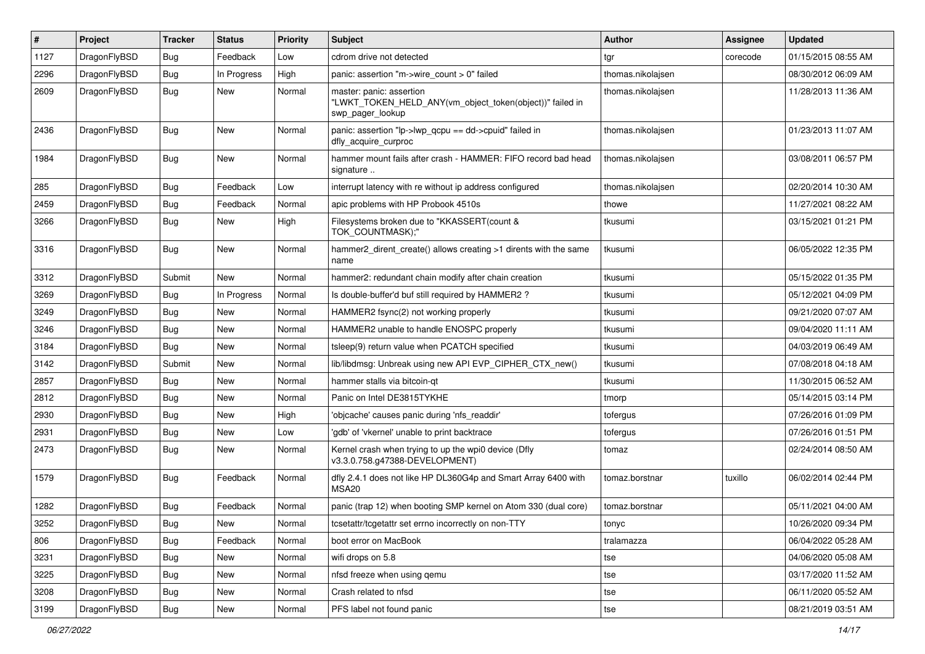| $\sharp$ | Project      | <b>Tracker</b> | <b>Status</b> | <b>Priority</b> | Subject                                                                                                  | Author            | <b>Assignee</b> | <b>Updated</b>      |
|----------|--------------|----------------|---------------|-----------------|----------------------------------------------------------------------------------------------------------|-------------------|-----------------|---------------------|
| 1127     | DragonFlyBSD | <b>Bug</b>     | Feedback      | Low             | cdrom drive not detected                                                                                 | tgr               | corecode        | 01/15/2015 08:55 AM |
| 2296     | DragonFlyBSD | Bug            | In Progress   | High            | panic: assertion "m->wire_count > 0" failed                                                              | thomas.nikolajsen |                 | 08/30/2012 06:09 AM |
| 2609     | DragonFlyBSD | Bug            | New           | Normal          | master: panic: assertion<br>"LWKT_TOKEN_HELD_ANY(vm_object_token(object))" failed in<br>swp_pager_lookup | thomas.nikolajsen |                 | 11/28/2013 11:36 AM |
| 2436     | DragonFlyBSD | Bug            | New           | Normal          | panic: assertion "lp->lwp_qcpu == dd->cpuid" failed in<br>dfly_acquire_curproc                           | thomas.nikolajsen |                 | 01/23/2013 11:07 AM |
| 1984     | DragonFlyBSD | Bug            | New           | Normal          | hammer mount fails after crash - HAMMER: FIFO record bad head<br>signature                               | thomas.nikolajsen |                 | 03/08/2011 06:57 PM |
| 285      | DragonFlyBSD | <b>Bug</b>     | Feedback      | Low             | interrupt latency with re without ip address configured                                                  | thomas.nikolajsen |                 | 02/20/2014 10:30 AM |
| 2459     | DragonFlyBSD | Bug            | Feedback      | Normal          | apic problems with HP Probook 4510s                                                                      | thowe             |                 | 11/27/2021 08:22 AM |
| 3266     | DragonFlyBSD | <b>Bug</b>     | New           | High            | Filesystems broken due to "KKASSERT(count &<br>TOK_COUNTMASK);"                                          | tkusumi           |                 | 03/15/2021 01:21 PM |
| 3316     | DragonFlyBSD | Bug            | <b>New</b>    | Normal          | hammer2 dirent create() allows creating >1 dirents with the same<br>name                                 | tkusumi           |                 | 06/05/2022 12:35 PM |
| 3312     | DragonFlyBSD | Submit         | New           | Normal          | hammer2: redundant chain modify after chain creation                                                     | tkusumi           |                 | 05/15/2022 01:35 PM |
| 3269     | DragonFlyBSD | <b>Bug</b>     | In Progress   | Normal          | Is double-buffer'd buf still required by HAMMER2?                                                        | tkusumi           |                 | 05/12/2021 04:09 PM |
| 3249     | DragonFlyBSD | <b>Bug</b>     | <b>New</b>    | Normal          | HAMMER2 fsync(2) not working properly                                                                    | tkusumi           |                 | 09/21/2020 07:07 AM |
| 3246     | DragonFlyBSD | Bug            | New           | Normal          | HAMMER2 unable to handle ENOSPC properly                                                                 | tkusumi           |                 | 09/04/2020 11:11 AM |
| 3184     | DragonFlyBSD | <b>Bug</b>     | New           | Normal          | tsleep(9) return value when PCATCH specified                                                             | tkusumi           |                 | 04/03/2019 06:49 AM |
| 3142     | DragonFlyBSD | Submit         | <b>New</b>    | Normal          | lib/libdmsg: Unbreak using new API EVP_CIPHER_CTX_new()                                                  | tkusumi           |                 | 07/08/2018 04:18 AM |
| 2857     | DragonFlyBSD | <b>Bug</b>     | New           | Normal          | hammer stalls via bitcoin-qt                                                                             | tkusumi           |                 | 11/30/2015 06:52 AM |
| 2812     | DragonFlyBSD | <b>Bug</b>     | New           | Normal          | Panic on Intel DE3815TYKHE                                                                               | tmorp             |                 | 05/14/2015 03:14 PM |
| 2930     | DragonFlyBSD | <b>Bug</b>     | New           | High            | 'objcache' causes panic during 'nfs readdir'                                                             | tofergus          |                 | 07/26/2016 01:09 PM |
| 2931     | DragonFlyBSD | <b>Bug</b>     | <b>New</b>    | Low             | 'gdb' of 'vkernel' unable to print backtrace                                                             | tofergus          |                 | 07/26/2016 01:51 PM |
| 2473     | DragonFlyBSD | Bug            | New           | Normal          | Kernel crash when trying to up the wpi0 device (Dfly<br>v3.3.0.758.g47388-DEVELOPMENT)                   | tomaz             |                 | 02/24/2014 08:50 AM |
| 1579     | DragonFlyBSD | Bug            | Feedback      | Normal          | dfly 2.4.1 does not like HP DL360G4p and Smart Array 6400 with<br>MSA20                                  | tomaz.borstnar    | tuxillo         | 06/02/2014 02:44 PM |
| 1282     | DragonFlyBSD | <b>Bug</b>     | Feedback      | Normal          | panic (trap 12) when booting SMP kernel on Atom 330 (dual core)                                          | tomaz.borstnar    |                 | 05/11/2021 04:00 AM |
| 3252     | DragonFlyBSD | <b>Bug</b>     | New           | Normal          | tcsetattr/tcgetattr set errno incorrectly on non-TTY                                                     | tonyc             |                 | 10/26/2020 09:34 PM |
| 806      | DragonFlyBSD | Bug            | Feedback      | Normal          | boot error on MacBook                                                                                    | tralamazza        |                 | 06/04/2022 05:28 AM |
| 3231     | DragonFlyBSD | <b>Bug</b>     | New           | Normal          | wifi drops on 5.8                                                                                        | tse               |                 | 04/06/2020 05:08 AM |
| 3225     | DragonFlyBSD | <b>Bug</b>     | New           | Normal          | nfsd freeze when using gemu                                                                              | tse               |                 | 03/17/2020 11:52 AM |
| 3208     | DragonFlyBSD | <b>Bug</b>     | New           | Normal          | Crash related to nfsd                                                                                    | tse               |                 | 06/11/2020 05:52 AM |
| 3199     | DragonFlyBSD | <b>Bug</b>     | New           | Normal          | PFS label not found panic                                                                                | tse               |                 | 08/21/2019 03:51 AM |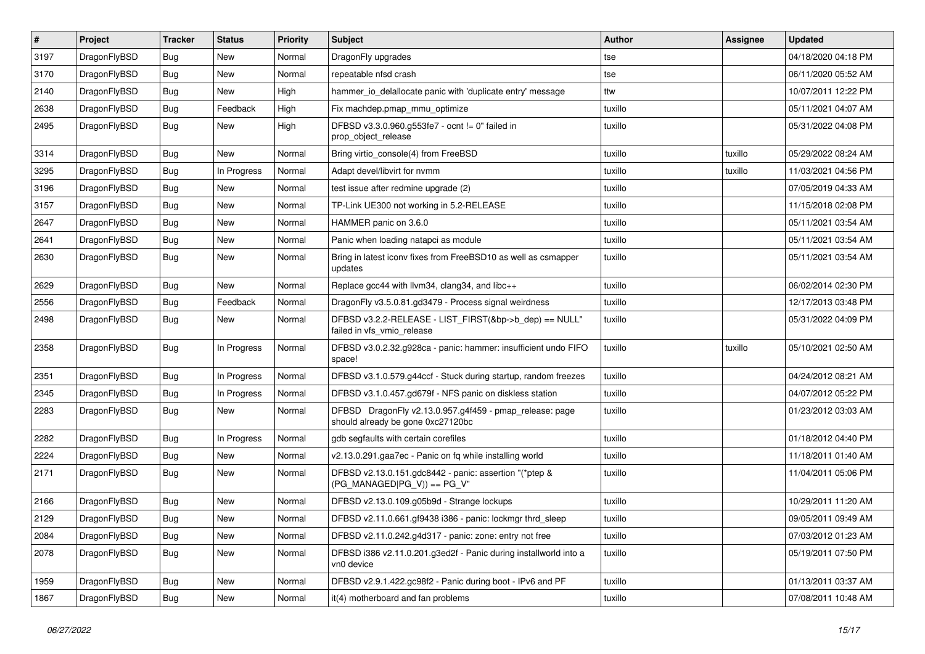| $\sharp$ | Project      | <b>Tracker</b> | <b>Status</b> | <b>Priority</b> | <b>Subject</b>                                                                               | Author  | Assignee | <b>Updated</b>      |
|----------|--------------|----------------|---------------|-----------------|----------------------------------------------------------------------------------------------|---------|----------|---------------------|
| 3197     | DragonFlyBSD | Bug            | New           | Normal          | DragonFly upgrades                                                                           | tse     |          | 04/18/2020 04:18 PM |
| 3170     | DragonFlyBSD | Bug            | <b>New</b>    | Normal          | repeatable nfsd crash                                                                        | tse     |          | 06/11/2020 05:52 AM |
| 2140     | DragonFlyBSD | Bug            | New           | High            | hammer io delallocate panic with 'duplicate entry' message                                   | ttw     |          | 10/07/2011 12:22 PM |
| 2638     | DragonFlyBSD | Bug            | Feedback      | High            | Fix machdep.pmap mmu optimize                                                                | tuxillo |          | 05/11/2021 04:07 AM |
| 2495     | DragonFlyBSD | Bug            | New           | High            | DFBSD v3.3.0.960.g553fe7 - ocnt != 0" failed in<br>prop object release                       | tuxillo |          | 05/31/2022 04:08 PM |
| 3314     | DragonFlyBSD | Bug            | <b>New</b>    | Normal          | Bring virtio console(4) from FreeBSD                                                         | tuxillo | tuxillo  | 05/29/2022 08:24 AM |
| 3295     | DragonFlyBSD | Bug            | In Progress   | Normal          | Adapt devel/libvirt for nvmm                                                                 | tuxillo | tuxillo  | 11/03/2021 04:56 PM |
| 3196     | DragonFlyBSD | Bug            | New           | Normal          | test issue after redmine upgrade (2)                                                         | tuxillo |          | 07/05/2019 04:33 AM |
| 3157     | DragonFlyBSD | Bug            | <b>New</b>    | Normal          | TP-Link UE300 not working in 5.2-RELEASE                                                     | tuxillo |          | 11/15/2018 02:08 PM |
| 2647     | DragonFlyBSD | Bug            | New           | Normal          | HAMMER panic on 3.6.0                                                                        | tuxillo |          | 05/11/2021 03:54 AM |
| 2641     | DragonFlyBSD | Bug            | New           | Normal          | Panic when loading natapci as module                                                         | tuxillo |          | 05/11/2021 03:54 AM |
| 2630     | DragonFlyBSD | Bug            | New           | Normal          | Bring in latest iconv fixes from FreeBSD10 as well as csmapper<br>updates                    | tuxillo |          | 05/11/2021 03:54 AM |
| 2629     | DragonFlyBSD | Bug            | <b>New</b>    | Normal          | Replace gcc44 with llvm34, clang34, and libc++                                               | tuxillo |          | 06/02/2014 02:30 PM |
| 2556     | DragonFlyBSD | Bug            | Feedback      | Normal          | DragonFly v3.5.0.81.gd3479 - Process signal weirdness                                        | tuxillo |          | 12/17/2013 03:48 PM |
| 2498     | DragonFlyBSD | <b>Bug</b>     | <b>New</b>    | Normal          | DFBSD v3.2.2-RELEASE - LIST_FIRST(&bp->b_dep) == NULL"<br>failed in vfs_vmio_release         | tuxillo |          | 05/31/2022 04:09 PM |
| 2358     | DragonFlyBSD | Bug            | In Progress   | Normal          | DFBSD v3.0.2.32.g928ca - panic: hammer: insufficient undo FIFO<br>space!                     | tuxillo | tuxillo  | 05/10/2021 02:50 AM |
| 2351     | DragonFlyBSD | Bug            | In Progress   | Normal          | DFBSD v3.1.0.579.g44ccf - Stuck during startup, random freezes                               | tuxillo |          | 04/24/2012 08:21 AM |
| 2345     | DragonFlyBSD | Bug            | In Progress   | Normal          | DFBSD v3.1.0.457.gd679f - NFS panic on diskless station                                      | tuxillo |          | 04/07/2012 05:22 PM |
| 2283     | DragonFlyBSD | Bug            | New           | Normal          | DFBSD DragonFly v2.13.0.957.g4f459 - pmap_release: page<br>should already be gone 0xc27120bc | tuxillo |          | 01/23/2012 03:03 AM |
| 2282     | DragonFlyBSD | Bug            | In Progress   | Normal          | gdb segfaults with certain corefiles                                                         | tuxillo |          | 01/18/2012 04:40 PM |
| 2224     | DragonFlyBSD | Bug            | New           | Normal          | v2.13.0.291.gaa7ec - Panic on fq while installing world                                      | tuxillo |          | 11/18/2011 01:40 AM |
| 2171     | DragonFlyBSD | Bug            | New           | Normal          | DFBSD v2.13.0.151.gdc8442 - panic: assertion "(*ptep &<br>$(PG_MANAGED PG_V)) == PG_V"$      | tuxillo |          | 11/04/2011 05:06 PM |
| 2166     | DragonFlyBSD | Bug            | New           | Normal          | DFBSD v2.13.0.109.g05b9d - Strange lockups                                                   | tuxillo |          | 10/29/2011 11:20 AM |
| 2129     | DragonFlyBSD | Bug            | <b>New</b>    | Normal          | DFBSD v2.11.0.661.gf9438 i386 - panic: lockmgr thrd sleep                                    | tuxillo |          | 09/05/2011 09:49 AM |
| 2084     | DragonFlyBSD | <b>Bug</b>     | New           | Normal          | DFBSD v2.11.0.242.g4d317 - panic: zone: entry not free                                       | tuxillo |          | 07/03/2012 01:23 AM |
| 2078     | DragonFlyBSD | <b>Bug</b>     | New           | Normal          | DFBSD i386 v2.11.0.201.g3ed2f - Panic during installworld into a<br>vn0 device               | tuxillo |          | 05/19/2011 07:50 PM |
| 1959     | DragonFlyBSD | <b>Bug</b>     | <b>New</b>    | Normal          | DFBSD v2.9.1.422.gc98f2 - Panic during boot - IPv6 and PF                                    | tuxillo |          | 01/13/2011 03:37 AM |
| 1867     | DragonFlyBSD | <b>Bug</b>     | New           | Normal          | it(4) motherboard and fan problems                                                           | tuxillo |          | 07/08/2011 10:48 AM |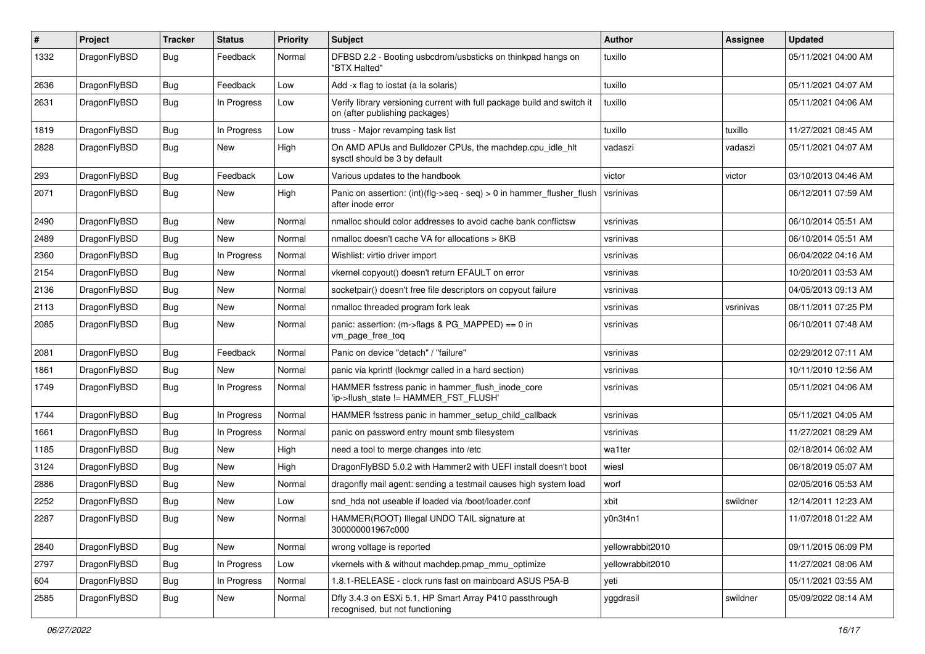| $\pmb{\#}$ | Project      | <b>Tracker</b> | <b>Status</b> | <b>Priority</b> | <b>Subject</b>                                                                                            | <b>Author</b>    | Assignee  | <b>Updated</b>      |
|------------|--------------|----------------|---------------|-----------------|-----------------------------------------------------------------------------------------------------------|------------------|-----------|---------------------|
| 1332       | DragonFlyBSD | Bug            | Feedback      | Normal          | DFBSD 2.2 - Booting usbcdrom/usbsticks on thinkpad hangs on<br>"BTX Halted"                               | tuxillo          |           | 05/11/2021 04:00 AM |
| 2636       | DragonFlyBSD | <b>Bug</b>     | Feedback      | Low             | Add -x flag to iostat (a la solaris)                                                                      | tuxillo          |           | 05/11/2021 04:07 AM |
| 2631       | DragonFlyBSD | Bug            | In Progress   | Low             | Verify library versioning current with full package build and switch it<br>on (after publishing packages) | tuxillo          |           | 05/11/2021 04:06 AM |
| 1819       | DragonFlyBSD | <b>Bug</b>     | In Progress   | Low             | truss - Major revamping task list                                                                         | tuxillo          | tuxillo   | 11/27/2021 08:45 AM |
| 2828       | DragonFlyBSD | Bug            | New           | High            | On AMD APUs and Bulldozer CPUs, the machdep.cpu_idle_hlt<br>sysctl should be 3 by default                 | vadaszi          | vadaszi   | 05/11/2021 04:07 AM |
| 293        | DragonFlyBSD | Bug            | Feedback      | Low             | Various updates to the handbook                                                                           | victor           | victor    | 03/10/2013 04:46 AM |
| 2071       | DragonFlyBSD | Bug            | New           | High            | Panic on assertion: $(int)(flag->seq - seq) > 0$ in hammer flusher flush<br>after inode error             | vsrinivas        |           | 06/12/2011 07:59 AM |
| 2490       | DragonFlyBSD | Bug            | New           | Normal          | nmalloc should color addresses to avoid cache bank conflictsw                                             | vsrinivas        |           | 06/10/2014 05:51 AM |
| 2489       | DragonFlyBSD | <b>Bug</b>     | <b>New</b>    | Normal          | nmalloc doesn't cache VA for allocations > 8KB                                                            | vsrinivas        |           | 06/10/2014 05:51 AM |
| 2360       | DragonFlyBSD | Bug            | In Progress   | Normal          | Wishlist: virtio driver import                                                                            | vsrinivas        |           | 06/04/2022 04:16 AM |
| 2154       | DragonFlyBSD | Bug            | <b>New</b>    | Normal          | vkernel copyout() doesn't return EFAULT on error                                                          | vsrinivas        |           | 10/20/2011 03:53 AM |
| 2136       | DragonFlyBSD | Bug            | New           | Normal          | socketpair() doesn't free file descriptors on copyout failure                                             | vsrinivas        |           | 04/05/2013 09:13 AM |
| 2113       | DragonFlyBSD | Bug            | New           | Normal          | nmalloc threaded program fork leak                                                                        | vsrinivas        | vsrinivas | 08/11/2011 07:25 PM |
| 2085       | DragonFlyBSD | Bug            | New           | Normal          | panic: assertion: (m->flags & PG_MAPPED) == 0 in<br>vm_page_free_toq                                      | vsrinivas        |           | 06/10/2011 07:48 AM |
| 2081       | DragonFlyBSD | Bug            | Feedback      | Normal          | Panic on device "detach" / "failure"                                                                      | vsrinivas        |           | 02/29/2012 07:11 AM |
| 1861       | DragonFlyBSD | <b>Bug</b>     | <b>New</b>    | Normal          | panic via kprintf (lockmgr called in a hard section)                                                      | vsrinivas        |           | 10/11/2010 12:56 AM |
| 1749       | DragonFlyBSD | Bug            | In Progress   | Normal          | HAMMER fsstress panic in hammer_flush_inode_core<br>'ip->flush_state != HAMMER_FST_FLUSH'                 | vsrinivas        |           | 05/11/2021 04:06 AM |
| 1744       | DragonFlyBSD | <b>Bug</b>     | In Progress   | Normal          | HAMMER fsstress panic in hammer_setup_child_callback                                                      | vsrinivas        |           | 05/11/2021 04:05 AM |
| 1661       | DragonFlyBSD | Bug            | In Progress   | Normal          | panic on password entry mount smb filesystem                                                              | vsrinivas        |           | 11/27/2021 08:29 AM |
| 1185       | DragonFlyBSD | Bug            | New           | High            | need a tool to merge changes into /etc                                                                    | wa1ter           |           | 02/18/2014 06:02 AM |
| 3124       | DragonFlyBSD | Bug            | New           | High            | DragonFlyBSD 5.0.2 with Hammer2 with UEFI install doesn't boot                                            | wiesl            |           | 06/18/2019 05:07 AM |
| 2886       | DragonFlyBSD | Bug            | New           | Normal          | dragonfly mail agent: sending a testmail causes high system load                                          | worf             |           | 02/05/2016 05:53 AM |
| 2252       | DragonFlyBSD | Bug            | New           | Low             | snd hda not useable if loaded via /boot/loader.conf                                                       | xbit             | swildner  | 12/14/2011 12:23 AM |
| 2287       | DragonFlyBSD | Bug            | New           | Normal          | HAMMER(ROOT) Illegal UNDO TAIL signature at<br>300000001967c000                                           | v0n3t4n1         |           | 11/07/2018 01:22 AM |
| 2840       | DragonFlyBSD | Bug            | New           | Normal          | wrong voltage is reported                                                                                 | yellowrabbit2010 |           | 09/11/2015 06:09 PM |
| 2797       | DragonFlyBSD | Bug            | In Progress   | Low             | vkernels with & without machdep.pmap_mmu_optimize                                                         | yellowrabbit2010 |           | 11/27/2021 08:06 AM |
| 604        | DragonFlyBSD | Bug            | In Progress   | Normal          | 1.8.1-RELEASE - clock runs fast on mainboard ASUS P5A-B                                                   | yeti             |           | 05/11/2021 03:55 AM |
| 2585       | DragonFlyBSD | <b>Bug</b>     | New           | Normal          | Dfly 3.4.3 on ESXi 5.1, HP Smart Array P410 passthrough<br>recognised, but not functioning                | yggdrasil        | swildner  | 05/09/2022 08:14 AM |